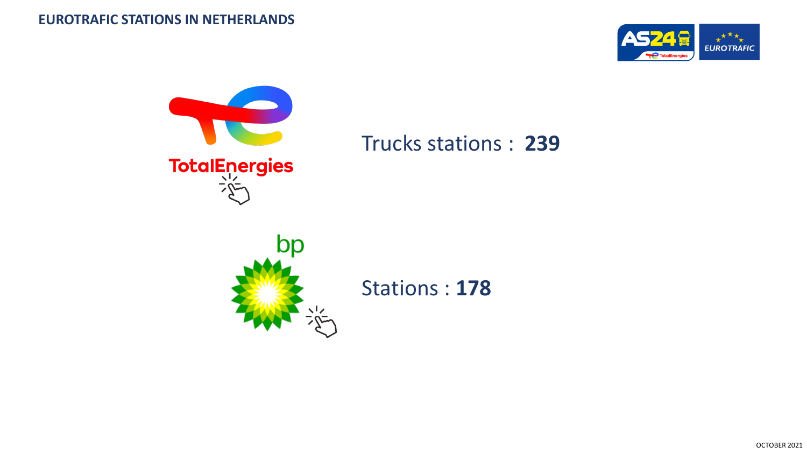



Trucks stations : **239**



[S](https://www.bp.com/nl_nl/bp-netherlands/zoek-de-dichtstbijzijnde-bp-vestiging.html)tations : **178**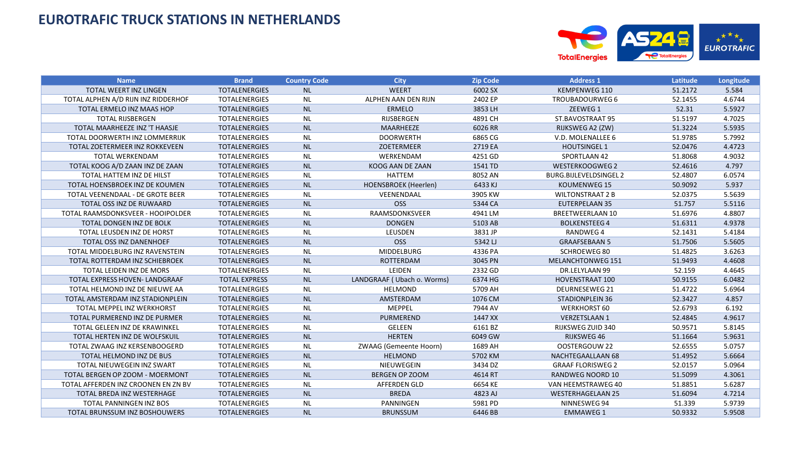

| <b>Name</b>                          | <b>Brand</b>         | <b>Country Code</b> | <b>City</b>                | <b>Zip Code</b> | <b>Address 1</b>         | Latitude | Longitude |
|--------------------------------------|----------------------|---------------------|----------------------------|-----------------|--------------------------|----------|-----------|
| <b>TOTAL WEERT INZ LINGEN</b>        | <b>TOTALENERGIES</b> | <b>NL</b>           | <b>WEERT</b>               | 6002 SX         | <b>KEMPENWEG 110</b>     | 51.2172  | 5.584     |
| TOTAL ALPHEN A/D RIJN INZ RIDDERHOF  | <b>TOTALENERGIES</b> | <b>NL</b>           | ALPHEN AAN DEN RIJN        | 2402 EP         | TROUBADOURWEG 6          | 52.1455  | 4.6744    |
| TOTAL ERMELO INZ MAAS HOP            | <b>TOTALENERGIES</b> | <b>NL</b>           | <b>ERMELO</b>              | 3853 LH         | ZEEWEG 1                 | 52.31    | 5.5927    |
| <b>TOTAL RIJSBERGEN</b>              | <b>TOTALENERGIES</b> | <b>NL</b>           | RIJSBERGEN                 | 4891 CH         | ST.BAVOSTRAAT 95         | 51.5197  | 4.7025    |
| TOTAL MAARHEEZE INZ 'T HAASJE        | <b>TOTALENERGIES</b> | <b>NL</b>           | MAARHEEZE                  | 6026 RR         | RIJKSWEG A2 (ZW)         | 51.3224  | 5.5935    |
| TOTAL DOORWERTH INZ LOMMERRIJK       | <b>TOTALENERGIES</b> | <b>NL</b>           | <b>DOORWERTH</b>           | 6865 CG         | V.D. MOLENALLEE 6        | 51.9785  | 5.7992    |
| TOTAL ZOETERMEER INZ ROKKEVEEN       | <b>TOTALENERGIES</b> | <b>NL</b>           | ZOETERMEER                 | 2719 EA         | <b>HOUTSINGEL 1</b>      | 52.0476  | 4.4723    |
| TOTAL WERKENDAM                      | <b>TOTALENERGIES</b> | <b>NL</b>           | WERKENDAM                  | 4251 GD         | SPORTLAAN 42             | 51.8068  | 4.9032    |
| TOTAL KOOG A/D ZAAN INZ DE ZAAN      | <b>TOTALENERGIES</b> | <b>NL</b>           | KOOG AAN DE ZAAN           | 1541 TD         | <b>WESTERKOOGWEG 2</b>   | 52.4616  | 4.797     |
| TOTAL HATTEM INZ DE HILST            | <b>TOTALENERGIES</b> | <b>NL</b>           | HATTEM                     | 8052 AN         | BURG.BIJLEVELDSINGEL 2   | 52.4807  | 6.0574    |
| TOTAL HOENSBROEK INZ DE KOUMEN       | <b>TOTALENERGIES</b> | <b>NL</b>           | HOENSBROEK (Heerlen)       | 6433 KJ         | <b>KOUMENWEG 15</b>      | 50.9092  | 5.937     |
| TOTAL VEENENDAAL - DE GROTE BEER     | <b>TOTALENERGIES</b> | <b>NL</b>           | VEENENDAAL                 | 3905 KW         | <b>WILTONSTRAAT 2 B</b>  | 52.0375  | 5.5639    |
| TOTAL OSS INZ DE RUWAARD             | <b>TOTALENERGIES</b> | <b>NL</b>           | <b>OSS</b>                 | 5344 CA         | <b>EUTERPELAAN 35</b>    | 51.757   | 5.5116    |
| TOTAL RAAMSDONKSVEER - HOOIPOLDER    | TOTALENERGIES        | <b>NL</b>           | RAAMSDONKSVEER             | 4941 LM         | <b>BREETWEERLAAN 10</b>  | 51.6976  | 4.8807    |
| TOTAL DONGEN INZ DE BOLK             | <b>TOTALENERGIES</b> | <b>NL</b>           | <b>DONGEN</b>              | 5103 AB         | <b>BOLKENSTEEG 4</b>     | 51.6311  | 4.9378    |
| TOTAL LEUSDEN INZ DE HORST           | <b>TOTALENERGIES</b> | <b>NL</b>           | LEUSDEN                    | 3831 JP         | <b>RANDWEG4</b>          | 52.1431  | 5.4184    |
| TOTAL OSS INZ DANENHOEF              | <b>TOTALENERGIES</b> | <b>NL</b>           | <b>OSS</b>                 | 5342 LJ         | <b>GRAAFSEBAAN 5</b>     | 51.7506  | 5.5605    |
| TOTAL MIDDELBURG INZ RAVENSTEIN      | <b>TOTALENERGIES</b> | <b>NL</b>           | MIDDELBURG                 | 4336 PA         | <b>SCHROEWEG 80</b>      | 51.4825  | 3.6263    |
| TOTAL ROTTERDAM INZ SCHIEBROEK       | <b>TOTALENERGIES</b> | <b>NL</b>           | ROTTERDAM                  | 3045 PN         | MELANCHTONWEG 151        | 51.9493  | 4.4608    |
| TOTAL LEIDEN INZ DE MORS             | <b>TOTALENERGIES</b> | <b>NL</b>           | LEIDEN                     | 2332 GD         | DR.LELYLAAN 99           | 52.159   | 4.4645    |
| TOTAL EXPRESS HOVEN- LANDGRAAF       | <b>TOTAL EXPRESS</b> | <b>NL</b>           | LANDGRAAF (Ubach o. Worms) | 6374 HG         | HOVENSTRAAT 100          | 50.9155  | 6.0482    |
| TOTAL HELMOND INZ DE NIEUWE AA       | <b>TOTALENERGIES</b> | <b>NL</b>           | <b>HELMOND</b>             | 5709 AH         | DEURNESEWEG 21           | 51.4722  | 5.6964    |
| TOTAL AMSTERDAM INZ STADIONPLEIN     | <b>TOTALENERGIES</b> | <b>NL</b>           | AMSTERDAM                  | 1076 CM         | <b>STADIONPLEIN 36</b>   | 52.3427  | 4.857     |
| TOTAL MEPPEL INZ WERKHORST           | <b>TOTALENERGIES</b> | <b>NL</b>           | MEPPEL                     | 7944 AV         | <b>WERKHORST 60</b>      | 52.6793  | 6.192     |
| TOTAL PURMEREND INZ DE PURMER        | <b>TOTALENERGIES</b> | <b>NL</b>           | PURMEREND                  | 1447 XX         | <b>VERZETSLAAN 1</b>     | 52.4845  | 4.9617    |
| TOTAL GELEEN INZ DE KRAWINKEL        | <b>TOTALENERGIES</b> | <b>NL</b>           | <b>GELEEN</b>              | 6161 BZ         | RIJKSWEG ZUID 340        | 50.9571  | 5.8145    |
| TOTAL HERTEN INZ DE WOLFSKUIL        | <b>TOTALENERGIES</b> | <b>NL</b>           | <b>HERTEN</b>              | 6049 GW         | <b>RIJKSWEG46</b>        | 51.1664  | 5.9631    |
| TOTAL ZWAAG INZ KERSENBOOGERD        | <b>TOTALENERGIES</b> | <b>NL</b>           | ZWAAG (Gemeente Hoorn)     | 1689 AH         | OOSTERGOUW 22            | 52.6555  | 5.0757    |
| TOTAL HELMOND INZ DE BUS             | <b>TOTALENERGIES</b> | <b>NL</b>           | <b>HELMOND</b>             | 5702 KM         | NACHTEGAALLAAN 68        | 51.4952  | 5.6664    |
| TOTAL NIEUWEGEIN INZ SWART           | <b>TOTALENERGIES</b> | <b>NL</b>           | NIEUWEGEIN                 | 3434 DZ         | <b>GRAAF FLORISWEG 2</b> | 52.0157  | 5.0964    |
| TOTAL BERGEN OP ZOOM - MOERMONT      | <b>TOTALENERGIES</b> | <b>NL</b>           | <b>BERGEN OP ZOOM</b>      | 4614 RT         | RANDWEG NOORD 10         | 51.5099  | 4.3061    |
| TOTAL AFFERDEN INZ CROONEN EN ZN BV  | <b>TOTALENERGIES</b> | <b>NL</b>           | <b>AFFERDEN GLD</b>        | 6654 KE         | VAN HEEMSTRAWEG 40       | 51.8851  | 5.6287    |
| TOTAL BREDA INZ WESTERHAGE           | <b>TOTALENERGIES</b> | <b>NL</b>           | <b>BREDA</b>               | 4823 AJ         | <b>WESTERHAGELAAN 25</b> | 51.6094  | 4.7214    |
| TOTAL PANNINGEN INZ BOS              | <b>TOTALENERGIES</b> | <b>NL</b>           | PANNINGEN                  | 5981 PD         | NINNESWEG 94             | 51.339   | 5.9739    |
| <b>TOTAL BRUNSSUM INZ BOSHOUWERS</b> | <b>TOTALENERGIES</b> | <b>NL</b>           | <b>BRUNSSUM</b>            | 6446 BB         | <b>EMMAWEG 1</b>         | 50.9332  | 5.9508    |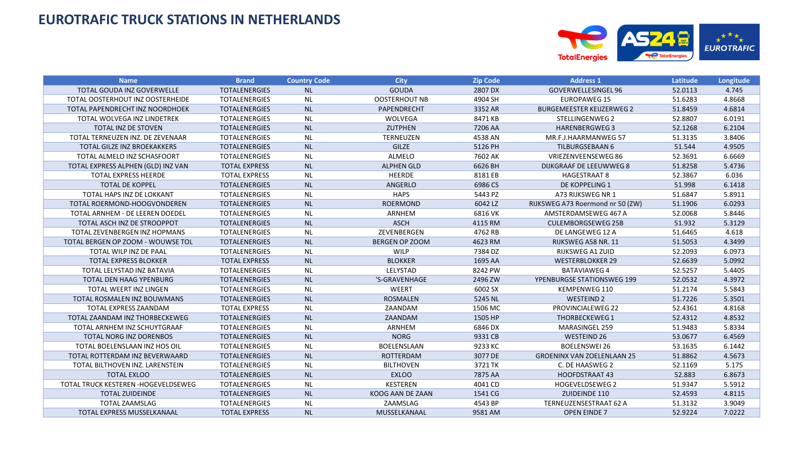

| <b>Name</b>                          | <b>Brand</b>         | <b>Country Code</b> | <b>City</b>           | <b>Zip Code</b> | <b>Address 1</b>                  | Latitude | Longitude |
|--------------------------------------|----------------------|---------------------|-----------------------|-----------------|-----------------------------------|----------|-----------|
| TOTAL GOUDA INZ GOVERWELLE           | <b>TOTALENERGIES</b> | <b>NL</b>           | <b>GOUDA</b>          | 2807 DX         | GOVERWELLESINGEL 96               | 52.0113  | 4.745     |
| TOTAL OOSTERHOUT INZ OOSTERHEIDE     | <b>TOTALENERGIES</b> | <b>NL</b>           | <b>OOSTERHOUT NB</b>  | 4904 SH         | <b>EUROPAWEG 15</b>               | 51.6283  | 4.8668    |
| TOTAL PAPENDRECHT INZ NOORDHOEK      | <b>TOTALENERGIES</b> | <b>NL</b>           | PAPENDRECHT           | 3352 AR         | <b>BURGEMEESTER KEIJZERWEG 2</b>  | 51.8459  | 4.6814    |
| <b>TOTAL WOLVEGA INZ LINDETREK</b>   | <b>TOTALENERGIES</b> | <b>NL</b>           | <b>WOLVEGA</b>        | 8471 KB         | STELLINGENWEG 2                   | 52.8807  | 6.0191    |
| TOTAL INZ DE STOVEN                  | <b>TOTALENERGIES</b> | <b>NL</b>           | <b>ZUTPHEN</b>        | 7206 AA         | <b>HARENBERGWEG3</b>              | 52.1268  | 6.2104    |
| TOTAL TERNEUZEN INZ. DE ZEVENAAR     | <b>TOTALENERGIES</b> | <b>NL</b>           | <b>TERNEUZEN</b>      | 4538 AN         | MR.F.J.HAARMANWEG 57              | 51.3135  | 3.8406    |
| TOTAL GILZE INZ BROEKAKKERS          | <b>TOTALENERGIES</b> | <b>NL</b>           | <b>GILZE</b>          | 5126 PH         | <b>TILBURGSEBAAN 6</b>            | 51.544   | 4.9505    |
| TOTAL ALMELO INZ SCHASFOORT          | <b>TOTALENERGIES</b> | <b>NL</b>           | ALMELO                | 7602 AK         | VRIEZENVEENSEWEG 86               | 52.3691  | 6.6669    |
| TOTAL EXPRESS ALPHEN (GLD) INZ VAN   | <b>TOTAL EXPRESS</b> | <b>NL</b>           | <b>ALPHEN GLD</b>     | 6626 BH         | <b>DIJKGRAAF DE LEEUWWEG 8</b>    | 51.8258  | 5.4736    |
| <b>TOTAL EXPRESS HEERDE</b>          | <b>TOTAL EXPRESS</b> | <b>NL</b>           | HEERDE                | 8181 EB         | <b>HAGESTRAAT 8</b>               | 52.3867  | 6.036     |
| <b>TOTAL DE KOPPEL</b>               | <b>TOTALENERGIES</b> | <b>NL</b>           | ANGERLO               | 6986 CS         | <b>DE KOPPELING 1</b>             | 51.998   | 6.1418    |
| TOTAL HAPS INZ DE LOKKANT            | <b>TOTALENERGIES</b> | <b>NL</b>           | <b>HAPS</b>           | 5443 PZ         | A73 RIJKSWEG NR 1                 | 51.6847  | 5.8911    |
| TOTAL ROERMOND-HOOGVONDEREN          | <b>TOTALENERGIES</b> | <b>NL</b>           | <b>ROERMOND</b>       | 6042 LZ         | RIJKSWEG A73 Roermond nr 50 (ZW)  | 51.1906  | 6.0293    |
| TOTAL ARNHEM - DE LEEREN DOEDEL      | <b>TOTALENERGIES</b> | <b>NL</b>           | ARNHEM                | 6816 VK         | AMSTERDAMSEWEG 467 A              | 52.0068  | 5.8446    |
| TOTAL ASCH INZ DE STROOPPOT          | <b>TOTALENERGIES</b> | <b>NL</b>           | <b>ASCH</b>           | 4115 RM         | <b>CULEMBORGSEWEG 25B</b>         | 51.932   | 5.3129    |
| TOTAL ZEVENBERGEN INZ HOPMANS        | <b>TOTALENERGIES</b> | <b>NL</b>           | ZEVENBERGEN           | 4762 RB         | DE LANGEWEG 12 A                  | 51.6465  | 4.618     |
| TOTAL BERGEN OP ZOOM - WOUWSE TOL    | <b>TOTALENERGIES</b> | <b>NL</b>           | <b>BERGEN OP ZOOM</b> | 4623 RM         | RIJKSWEG A58 NR. 11               | 51.5053  | 4.3499    |
| TOTAL WILP INZ DE PAAL               | <b>TOTALENERGIES</b> | <b>NL</b>           | WILP                  | 7384 DZ         | <b>RIJKSWEG A1 ZUID</b>           | 52.2093  | 6.0973    |
| <b>TOTAL EXPRESS BLOKKER</b>         | <b>TOTAL EXPRESS</b> | <b>NL</b>           | <b>BLOKKER</b>        | 1695 AA         | <b>WESTERBLOKKER 29</b>           | 52.6639  | 5.0992    |
| TOTAL LELYSTAD INZ BATAVIA           | <b>TOTALENERGIES</b> | <b>NL</b>           | LELYSTAD              | 8242 PW         | <b>BATAVIAWEG 4</b>               | 52.5257  | 5.4405    |
| TOTAL DEN HAAG YPENBURG              | <b>TOTALENERGIES</b> | <b>NL</b>           | 'S-GRAVENHAGE         | 2496 ZW         | YPENBURGSE STATIONSWEG 199        | 52.0532  | 4.3972    |
| TOTAL WEERT INZ LINGEN               | <b>TOTALENERGIES</b> | <b>NL</b>           | WEERT                 | 6002 SX         | KEMPENWEG 110                     | 51.2174  | 5.5843    |
| TOTAL ROSMALEN INZ BOUWMANS          | <b>TOTALENERGIES</b> | <b>NL</b>           | <b>ROSMALEN</b>       | 5245 NL         | <b>WESTEIND 2</b>                 | 51.7226  | 5.3501    |
| TOTAL EXPRESS ZAANDAM                | <b>TOTAL EXPRESS</b> | <b>NL</b>           | ZAANDAM               | 1506 MC         | PROVINCIALEWEG 22                 | 52.4361  | 4.8168    |
| TOTAL ZAANDAM INZ THORBECKEWEG       | <b>TOTALENERGIES</b> | <b>NL</b>           | ZAANDAM               | 1505 HP         | <b>THORBECKEWEG 1</b>             | 52.4312  | 4.8532    |
| TOTAL ARNHEM INZ SCHUYTGRAAF         | <b>TOTALENERGIES</b> | <b>NL</b>           | ARNHEM                | 6846 DX         | <b>MARASINGEL 259</b>             | 51.9483  | 5.8334    |
| <b>TOTAL NORG INZ DORENBOS</b>       | <b>TOTALENERGIES</b> | <b>NL</b>           | <b>NORG</b>           | 9331 CB         | <b>WESTEIND 26</b>                | 53.0677  | 6.4569    |
| TOTAL BOELENSLAAN INZ HOS OIL        | <b>TOTALENERGIES</b> | <b>NL</b>           | BOELENSLAAN           | 9233 KC         | <b>BOELENSWEI 26</b>              | 53.1635  | 6.1442    |
| TOTAL ROTTERDAM INZ BEVERWAARD       | <b>TOTALENERGIES</b> | <b>NL</b>           | <b>ROTTERDAM</b>      | 3077 DE         | <b>GROENINX VAN ZOELENLAAN 25</b> | 51.8862  | 4.5673    |
| TOTAL BILTHOVEN INZ. LARENSTEIN      | <b>TOTALENERGIES</b> | <b>NL</b>           | <b>BILTHOVEN</b>      | 3721 TK         | C. DE HAASWEG 2                   | 52.1169  | 5.175     |
| <b>TOTAL EXLOO</b>                   | <b>TOTALENERGIES</b> | <b>NL</b>           | <b>EXLOO</b>          | 7875 AA         | <b>HOOFDSTRAAT 43</b>             | 52.883   | 6.8673    |
| TOTAL TRUCK KESTEREN - HOGEVELDSEWEG | <b>TOTALENERGIES</b> | <b>NL</b>           | <b>KESTEREN</b>       | 4041 CD         | <b>HOGEVELDSEWEG 2</b>            | 51.9347  | 5.5912    |
| <b>TOTAL ZUIDEINDE</b>               | <b>TOTALENERGIES</b> | <b>NL</b>           | KOOG AAN DE ZAAN      | 1541 CG         | ZUIDEINDE 110                     | 52.4593  | 4.8115    |
| <b>TOTAL ZAAMSLAG</b>                | <b>TOTALENERGIES</b> | <b>NL</b>           | ZAAMSLAG              | 4543 BP         | TERNEUZENSESTRAAT 62 A            | 51.3132  | 3.9049    |
| <b>TOTAL EXPRESS MUSSELKANAAL</b>    | <b>TOTAL EXPRESS</b> | <b>NL</b>           | MUSSELKANAAL          | 9581 AM         | <b>OPEN EINDE 7</b>               | 52.9224  | 7.0222    |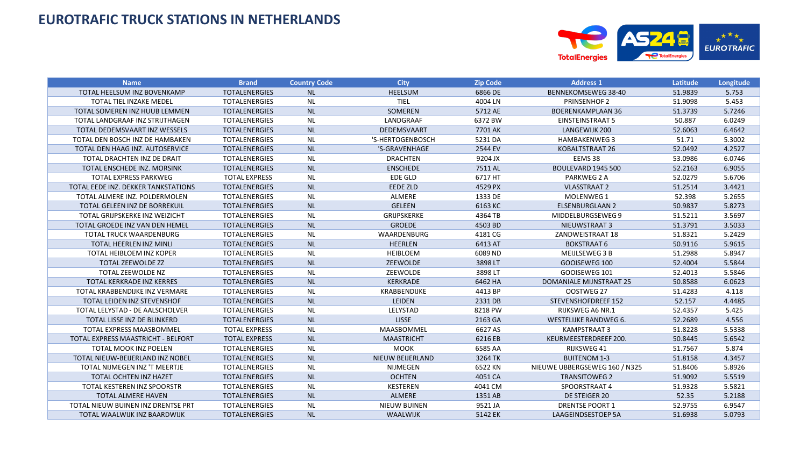

| <b>Name</b>                         | <b>Brand</b>         | <b>Country Code</b> | <b>City</b>         | <b>Zip Code</b> | <b>Address 1</b>              | Latitude | Longitude |
|-------------------------------------|----------------------|---------------------|---------------------|-----------------|-------------------------------|----------|-----------|
| TOTAL HEELSUM INZ BOVENKAMP         | <b>TOTALENERGIES</b> | <b>NL</b>           | <b>HEELSUM</b>      | 6866 DE         | <b>BENNEKOMSEWEG 38-40</b>    | 51.9839  | 5.753     |
| <b>TOTAL TIEL INZAKE MEDEL</b>      | <b>TOTALENERGIES</b> | <b>NL</b>           | <b>TIEL</b>         | 4004 LN         | <b>PRINSENHOF 2</b>           | 51.9098  | 5.453     |
| TOTAL SOMEREN INZ HUUB LEMMEN       | <b>TOTALENERGIES</b> | <b>NL</b>           | SOMEREN             | 5712 AE         | <b>BOERENKAMPLAAN 36</b>      | 51.3739  | 5.7246    |
| TOTAL LANDGRAAF INZ STRIJTHAGEN     | <b>TOTALENERGIES</b> | <b>NL</b>           | LANDGRAAF           | 6372 BW         | <b>EINSTEINSTRAAT 5</b>       | 50.887   | 6.0249    |
| TOTAL DEDEMSVAART INZ WESSELS       | <b>TOTALENERGIES</b> | <b>NL</b>           | DEDEMSVAART         | 7701 AK         | LANGEWIJK 200                 | 52.6063  | 6.4642    |
| TOTAL DEN BOSCH INZ DE HAMBAKEN     | <b>TOTALENERGIES</b> | <b>NL</b>           | 'S-HERTOGENBOSCH    | 5231 DA         | <b>HAMBAKENWEG 3</b>          | 51.71    | 5.3002    |
| TOTAL DEN HAAG INZ. AUTOSERVICE     | <b>TOTALENERGIES</b> | <b>NL</b>           | 'S-GRAVENHAGE       | 2544 EV         | KOBALTSTRAAT 26               | 52.0492  | 4.2527    |
| TOTAL DRACHTEN INZ DE DRAIT         | <b>TOTALENERGIES</b> | <b>NL</b>           | <b>DRACHTEN</b>     | 9204 JX         | EEMS 38                       | 53.0986  | 6.0746    |
| TOTAL ENSCHEDE INZ. MORSINK         | <b>TOTALENERGIES</b> | <b>NL</b>           | <b>ENSCHEDE</b>     | 7511 AL         | <b>BOULEVARD 1945 500</b>     | 52.2163  | 6.9055    |
| <b>TOTAL EXPRESS PARKWEG</b>        | <b>TOTAL EXPRESS</b> | <b>NL</b>           | EDE GLD             | 6717 HT         | PARKWEG 2 A                   | 52.0279  | 5.6706    |
| TOTAL EEDE INZ. DEKKER TANKSTATIONS | <b>TOTALENERGIES</b> | <b>NL</b>           | <b>EEDE ZLD</b>     | 4529 PX         | <b>VLASSTRAAT 2</b>           | 51.2514  | 3.4421    |
| TOTAL ALMERE INZ. POLDERMOLEN       | <b>TOTALENERGIES</b> | <b>NL</b>           | ALMERE              | 1333 DE         | MOLENWEG 1                    | 52.398   | 5.2655    |
| TOTAL GELEEN INZ DE BORREKUIL       | <b>TOTALENERGIES</b> | <b>NL</b>           | <b>GELEEN</b>       | 6163 KC         | <b>ELSENBURGLAAN 2</b>        | 50.9837  | 5.8273    |
| TOTAL GRIJPSKERKE INZ WEIZICHT      | <b>TOTALENERGIES</b> | <b>NL</b>           | GRIJPSKERKE         | 4364 TB         | MIDDELBURGSEWEG 9             | 51.5211  | 3.5697    |
| TOTAL GROEDE INZ VAN DEN HEMEL      | <b>TOTALENERGIES</b> | <b>NL</b>           | <b>GROEDE</b>       | 4503 BD         | NIEUWSTRAAT 3                 | 51.3791  | 3.5033    |
| TOTAL TRUCK WAARDENBURG             | <b>TOTALENERGIES</b> | <b>NL</b>           | WAARDENBURG         | 4181 CG         | ZANDWEISTRAAT 18              | 51.8321  | 5.2429    |
| TOTAL HEERLEN INZ MINLI             | <b>TOTALENERGIES</b> | <b>NL</b>           | <b>HEERLEN</b>      | 6413 AT         | <b>BOKSTRAAT 6</b>            | 50.9116  | 5.9615    |
| TOTAL HEIBLOEM INZ KOPER            | <b>TOTALENERGIES</b> | <b>NL</b>           | <b>HEIBLOEM</b>     | 6089 ND         | MEIJLSEWEG 3 B                | 51.2988  | 5.8947    |
| <b>TOTAL ZEEWOLDE ZZ</b>            | <b>TOTALENERGIES</b> | <b>NL</b>           | ZEEWOLDE            | 3898 LT         | GOOISEWEG 100                 | 52.4004  | 5.5844    |
| TOTAL ZEEWOLDE NZ                   | <b>TOTALENERGIES</b> | <b>NL</b>           | ZEEWOLDE            | 3898 LT         | GOOISEWEG 101                 | 52.4013  | 5.5846    |
| TOTAL KERKRADE INZ KERRES           | <b>TOTALENERGIES</b> | <b>NL</b>           | <b>KERKRADE</b>     | 6462 HA         | DOMANIALE MIJNSTRAAT 25       | 50.8588  | 6.0623    |
| TOTAL KRABBENDIJKE INZ VERMARE      | <b>TOTALENERGIES</b> | <b>NL</b>           | KRABBENDIJKE        | 4413 BP         | OOSTWEG 27                    | 51.4283  | 4.118     |
| TOTAL LEIDEN INZ STEVENSHOF         | <b>TOTALENERGIES</b> | <b>NL</b>           | LEIDEN              | 2331 DB         | STEVENSHOFDREEF 152           | 52.157   | 4.4485    |
| TOTAL LELYSTAD - DE AALSCHOLVER     | <b>TOTALENERGIES</b> | <b>NL</b>           | LELYSTAD            | 8218 PW         | RIJKSWEG A6 NR.1              | 52.4357  | 5.425     |
| TOTAL LISSE INZ DE BLINKERD         | <b>TOTALENERGIES</b> | <b>NL</b>           | <b>LISSE</b>        | 2163 GA         | <b>WESTELIJKE RANDWEG 6.</b>  | 52.2689  | 4.556     |
| TOTAL EXPRESS MAASBOMMEL            | <b>TOTAL EXPRESS</b> | <b>NL</b>           | MAASBOMMEL          | 6627 AS         | KAMPSTRAAT 3                  | 51.8228  | 5.5338    |
| TOTAL EXPRESS MAASTRICHT - BELFORT  | <b>TOTAL EXPRESS</b> | <b>NL</b>           | <b>MAASTRICHT</b>   | 6216 EB         | KEURMEESTERDREEF 200.         | 50.8445  | 5.6542    |
| <b>TOTAL MOOK INZ POELEN</b>        | <b>TOTALENERGIES</b> | <b>NL</b>           | <b>MOOK</b>         | 6585 AA         | RIJKSWEG 41                   | 51.7567  | 5.874     |
| TOTAL NIEUW-BEIJERLAND INZ NOBEL    | <b>TOTALENERGIES</b> | <b>NL</b>           | NIEUW BEIJERLAND    | 3264 TK         | <b>BUITENOM 1-3</b>           | 51.8158  | 4.3457    |
| TOTAL NIJMEGEN INZ 'T MEERTJE       | <b>TOTALENERGIES</b> | <b>NL</b>           | NIJMEGEN            | 6522 KN         | NIEUWE UBBERGSEWEG 160 / N325 | 51.8406  | 5.8926    |
| TOTAL OCHTEN INZ HAZET              | <b>TOTALENERGIES</b> | <b>NL</b>           | <b>OCHTEN</b>       | 4051 CA         | <b>TRANSITOWEG 2</b>          | 51.9092  | 5.5519    |
| TOTAL KESTEREN INZ SPOORSTR         | <b>TOTALENERGIES</b> | <b>NL</b>           | <b>KESTEREN</b>     | 4041 CM         | SPOORSTRAAT 4                 | 51.9328  | 5.5821    |
| <b>TOTAL ALMERE HAVEN</b>           | <b>TOTALENERGIES</b> | <b>NL</b>           | ALMERE              | 1351 AB         | DE STEIGER 20                 | 52.35    | 5.2188    |
| TOTAL NIEUW BUINEN INZ DRENTSE PRT  | <b>TOTALENERGIES</b> | <b>NL</b>           | <b>NIEUW BUINEN</b> | 9521 JA         | <b>DRENTSE POORT 1</b>        | 52.9755  | 6.9547    |
| TOTAL WAALWIJK INZ BAARDWIJK        | <b>TOTALENERGIES</b> | <b>NL</b>           | WAALWIJK            | 5142 EK         | <b>LAAGEINDSESTOEP 5A</b>     | 51.6938  | 5.0793    |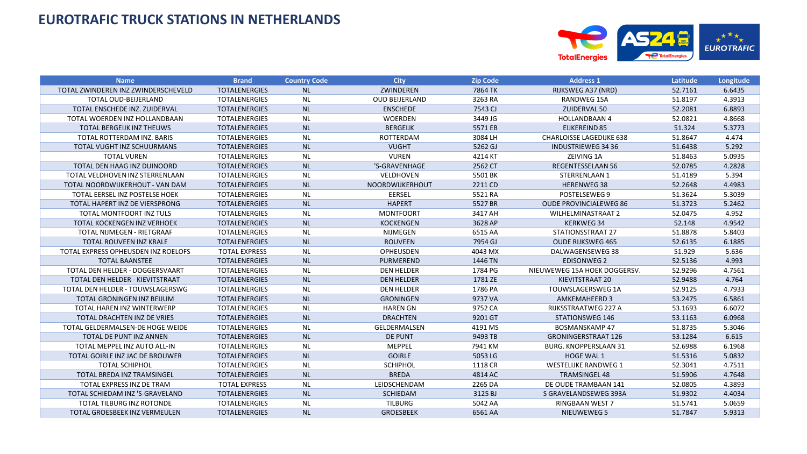

| <b>Name</b>                          | <b>Brand</b>         | <b>Country Code</b> | <b>City</b>           | <b>Zip Code</b> | <b>Address 1</b>                | Latitude | Longitude |
|--------------------------------------|----------------------|---------------------|-----------------------|-----------------|---------------------------------|----------|-----------|
| TOTAL ZWINDEREN INZ ZWINDERSCHEVELD  | <b>TOTALENERGIES</b> | <b>NL</b>           | ZWINDEREN             | 7864 TK         | RIJKSWEG A37 (NRD)              | 52.7161  | 6.6435    |
| <b>TOTAL OUD-BEIJERLAND</b>          | <b>TOTALENERGIES</b> | <b>NL</b>           | <b>OUD BEIJERLAND</b> | 3263 RA         | RANDWEG 15A                     | 51.8197  | 4.3913    |
| TOTAL ENSCHEDE INZ. ZUIDERVAL        | <b>TOTALENERGIES</b> | <b>NL</b>           | <b>ENSCHEDE</b>       | 7543 CJ         | ZUIDERVAL 50                    | 52.2081  | 6.8893    |
| TOTAL WOERDEN INZ HOLLANDBAAN        | <b>TOTALENERGIES</b> | <b>NL</b>           | <b>WOERDEN</b>        | 3449 JG         | <b>HOLLANDBAAN 4</b>            | 52.0821  | 4.8668    |
| <b>TOTAL BERGEIJK INZ THEUWS</b>     | <b>TOTALENERGIES</b> | <b>NL</b>           | <b>BERGEIJK</b>       | 5571 EB         | <b>EIJKEREIND 85</b>            | 51.324   | 5.3773    |
| TOTAL ROTTERDAM INZ. BARIS           | <b>TOTALENERGIES</b> | <b>NL</b>           | <b>ROTTERDAM</b>      | 3084 LH         | <b>CHARLOISSE LAGEDIJKE 638</b> | 51.8647  | 4.474     |
| TOTAL VUGHT INZ SCHUURMANS           | <b>TOTALENERGIES</b> | <b>NL</b>           | <b>VUGHT</b>          | 5262 GJ         | <b>INDUSTRIEWEG 34 36</b>       | 51.6438  | 5.292     |
| <b>TOTAL VUREN</b>                   | <b>TOTALENERGIES</b> | <b>NL</b>           | <b>VUREN</b>          | 4214 KT         | ZEIVING 1A                      | 51.8463  | 5.0935    |
| TOTAL DEN HAAG INZ DUINOORD          | <b>TOTALENERGIES</b> | <b>NL</b>           | 'S-GRAVENHAGE         | 2562 CT         | <b>REGENTESSELAAN 56</b>        | 52.0785  | 4.2828    |
| TOTAL VELDHOVEN INZ STERRENLAAN      | <b>TOTALENERGIES</b> | <b>NL</b>           | VELDHOVEN             | 5501 BK         | STERRENLAAN 1                   | 51.4189  | 5.394     |
| TOTAL NOORDWIJKERHOUT - VAN DAM      | <b>TOTALENERGIES</b> | <b>NL</b>           | NOORDWIJKERHOUT       | 2211 CD         | <b>HERENWEG 38</b>              | 52.2648  | 4.4983    |
| TOTAL EERSEL INZ POSTELSE HOEK       | <b>TOTALENERGIES</b> | <b>NL</b>           | EERSEL                | 5521 RA         | POSTELSEWEG 9                   | 51.3624  | 5.3039    |
| TOTAL HAPERT INZ DE VIERSPRONG       | <b>TOTALENERGIES</b> | <b>NL</b>           | <b>HAPERT</b>         | 5527 BR         | <b>OUDE PROVINCIALEWEG 86</b>   | 51.3723  | 5.2462    |
| TOTAL MONTFOORT INZ TULS             | <b>TOTALENERGIES</b> | <b>NL</b>           | <b>MONTFOORT</b>      | 3417 AH         | <b>WILHELMINASTRAAT 2</b>       | 52.0475  | 4.952     |
| TOTAL KOCKENGEN INZ VERHOEK          | <b>TOTALENERGIES</b> | <b>NL</b>           | <b>KOCKENGEN</b>      | 3628 AP         | <b>KERKWEG34</b>                | 52.148   | 4.9542    |
| TOTAL NIJMEGEN - RIETGRAAF           | <b>TOTALENERGIES</b> | <b>NL</b>           | <b>NIJMEGEN</b>       | 6515 AA         | STATIONSSTRAAT 27               | 51.8878  | 5.8403    |
| TOTAL ROUVEEN INZ KRALE              | <b>TOTALENERGIES</b> | <b>NL</b>           | <b>ROUVEEN</b>        | 7954 GJ         | <b>OUDE RIJKSWEG 465</b>        | 52.6135  | 6.1885    |
| TOTAL EXPRESS OPHEUSDEN INZ ROELOFS  | <b>TOTAL EXPRESS</b> | <b>NL</b>           | OPHEUSDEN             | 4043 MX         | DALWAGENSEWEG 38                | 51.929   | 5.636     |
| <b>TOTAL BAANSTEE</b>                | <b>TOTALENERGIES</b> | <b>NL</b>           | <b>PURMEREND</b>      | 1446 TN         | <b>EDISONWEG 2</b>              | 52.5136  | 4.993     |
| TOTAL DEN HELDER - DOGGERSVAART      | <b>TOTALENERGIES</b> | <b>NL</b>           | <b>DEN HELDER</b>     | 1784 PG         | NIEUWEWEG 15A HOEK DOGGERSV.    | 52.9296  | 4.7561    |
| TOTAL DEN HELDER - KIEVITSTRAAT      | <b>TOTALENERGIES</b> | <b>NL</b>           | <b>DEN HELDER</b>     | 1781 ZE         | KIEVITSTRAAT 20                 | 52.9488  | 4.764     |
| TOTAL DEN HELDER - TOUWSLAGERSWG     | <b>TOTALENERGIES</b> | <b>NL</b>           | <b>DEN HELDER</b>     | 1786 PA         | TOUWSLAGERSWEG 1A               | 52.9125  | 4.7933    |
| TOTAL GRONINGEN INZ BEIJUM           | <b>TOTALENERGIES</b> | <b>NL</b>           | <b>GRONINGEN</b>      | 9737 VA         | <b>AMKEMAHEERD 3</b>            | 53.2475  | 6.5861    |
| TOTAL HAREN INZ WINTERWERP           | <b>TOTALENERGIES</b> | <b>NL</b>           | <b>HAREN GN</b>       | 9752 CA         | RIJKSSTRAATWEG 227 A            | 53.1693  | 6.6072    |
| TOTAL DRACHTEN INZ DE VRIES          | <b>TOTALENERGIES</b> | <b>NL</b>           | <b>DRACHTEN</b>       | 9201 GT         | <b>STATIONSWEG 146</b>          | 53.1163  | 6.0968    |
| TOTAL GELDERMALSEN-DE HOGE WEIDE     | <b>TOTALENERGIES</b> | <b>NL</b>           | GELDERMALSEN          | 4191 MS         | <b>BOSMANSKAMP 47</b>           | 51.8735  | 5.3046    |
| TOTAL DE PUNT INZ ANNEN              | <b>TOTALENERGIES</b> | <b>NL</b>           | DE PUNT               | 9493 TB         | <b>GRONINGERSTRAAT 126</b>      | 53.1284  | 6.615     |
| TOTAL MEPPEL INZ AUTO ALL-IN         | <b>TOTALENERGIES</b> | <b>NL</b>           | MEPPEL                | 7941 KM         | <b>BURG. KNOPPERSLAAN 31</b>    | 52.6988  | 6.1968    |
| TOTAL GOIRLE INZ JAC DE BROUWER      | <b>TOTALENERGIES</b> | <b>NL</b>           | <b>GOIRLE</b>         | 5053LG          | HOGE WAL 1                      | 51.5316  | 5.0832    |
| <b>TOTAL SCHIPHOL</b>                | <b>TOTALENERGIES</b> | <b>NL</b>           | <b>SCHIPHOL</b>       | 1118 CR         | <b>WESTELIJKE RANDWEG 1</b>     | 52.3041  | 4.7511    |
| TOTAL BREDA INZ TRAMSINGEL           | <b>TOTALENERGIES</b> | <b>NL</b>           | <b>BREDA</b>          | 4814 AC         | <b>TRAMSINGEL 48</b>            | 51.5906  | 4.7648    |
| TOTAL EXPRESS INZ DE TRAM            | <b>TOTAL EXPRESS</b> | <b>NL</b>           | LEIDSCHENDAM          | 2265 DA         | DE OUDE TRAMBAAN 141            | 52.0805  | 4.3893    |
| TOTAL SCHIEDAM INZ 'S-GRAVELAND      | <b>TOTALENERGIES</b> | <b>NL</b>           | <b>SCHIEDAM</b>       | 3125 BJ         | S GRAVELANDSEWEG 393A           | 51.9302  | 4.4034    |
| <b>TOTAL TILBURG INZ ROTONDE</b>     | <b>TOTALENERGIES</b> | <b>NL</b>           | <b>TILBURG</b>        | 5042 AA         | <b>RINGBAAN WEST 7</b>          | 51.5741  | 5.0659    |
| <b>TOTAL GROESBEEK INZ VERMEULEN</b> | <b>TOTALENERGIES</b> | <b>NL</b>           | <b>GROESBEEK</b>      | 6561 AA         | NIEUWEWEG 5                     | 51.7847  | 5.9313    |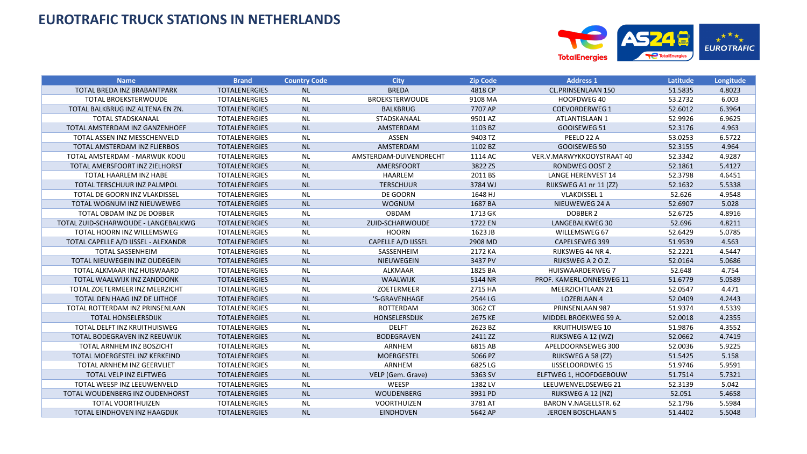

| <b>Name</b>                          | <b>Brand</b>         | <b>Country Code</b> | <b>City</b>            | <b>Zip Code</b> | <b>Address 1</b>             | <b>Latitude</b> | Longitude |
|--------------------------------------|----------------------|---------------------|------------------------|-----------------|------------------------------|-----------------|-----------|
| TOTAL BREDA INZ BRABANTPARK          | <b>TOTALENERGIES</b> | <b>NL</b>           | <b>BREDA</b>           | 4818 CP         | CL.PRINSENLAAN 150           | 51.5835         | 4.8023    |
| <b>TOTAL BROEKSTERWOUDE</b>          | <b>TOTALENERGIES</b> | <b>NL</b>           | <b>BROEKSTERWOUDE</b>  | 9108 MA         | HOOFDWEG 40                  | 53.2732         | 6.003     |
| TOTAL BALKBRUG INZ ALTENA EN ZN.     | <b>TOTALENERGIES</b> | <b>NL</b>           | <b>BALKBRUG</b>        | 7707 AP         | <b>COEVORDERWEG 1</b>        | 52.6012         | 6.3964    |
| <b>TOTAL STADSKANAAL</b>             | <b>TOTALENERGIES</b> | <b>NL</b>           | STADSKANAAL            | 9501 AZ         | ATLANTISLAAN 1               | 52.9926         | 6.9625    |
| TOTAL AMSTERDAM INZ GANZENHOEF       | <b>TOTALENERGIES</b> | <b>NL</b>           | AMSTERDAM              | 1103 BZ         | GOOISEWEG 51                 | 52.3176         | 4.963     |
| TOTAL ASSEN INZ MESSCHENVELD         | <b>TOTALENERGIES</b> | <b>NL</b>           | <b>ASSEN</b>           | 9403 TZ         | PEELO 22 A                   | 53.0253         | 6.5722    |
| TOTAL AMSTERDAM INZ FLIERBOS         | <b>TOTALENERGIES</b> | <b>NL</b>           | AMSTERDAM              | 1102 BZ         | GOOISEWEG 50                 | 52.3155         | 4.964     |
| TOTAL AMSTERDAM - MARWIJK KOOIJ      | <b>TOTALENERGIES</b> | <b>NL</b>           | AMSTERDAM-DUIVENDRECHT | 1114 AC         | VER.V.MARWYKKOOYSTRAAT 40    | 52.3342         | 4.9287    |
| TOTAL AMERSFOORT INZ ZIELHORST       | <b>TOTALENERGIES</b> | <b>NL</b>           | AMERSFOORT             | 3822 ZS         | <b>RONDWEG OOST 2</b>        | 52.1861         | 5.4127    |
| TOTAL HAARLEM INZ HABE               | <b>TOTALENERGIES</b> | <b>NL</b>           | HAARLEM                | 2011 BS         | <b>LANGE HERENVEST 14</b>    | 52.3798         | 4.6451    |
| TOTAL TERSCHUUR INZ PALMPOL          | <b>TOTALENERGIES</b> | <b>NL</b>           | <b>TERSCHUUR</b>       | 3784 WJ         | RIJKSWEG A1 nr 11 (ZZ)       | 52.1632         | 5.5338    |
| TOTAL DE GOORN INZ VLAKDISSEL        | <b>TOTALENERGIES</b> | <b>NL</b>           | DE GOORN               | 1648 HJ         | <b>VLAKDISSEL 1</b>          | 52.626          | 4.9548    |
| TOTAL WOGNUM INZ NIEUWEWEG           | <b>TOTALENERGIES</b> | <b>NL</b>           | <b>WOGNUM</b>          | 1687 BA         | NIEUWEWEG 24 A               | 52.6907         | 5.028     |
| TOTAL OBDAM INZ DE DOBBER            | <b>TOTALENERGIES</b> | <b>NL</b>           | OBDAM                  | 1713 GK         | <b>DOBBER 2</b>              | 52.6725         | 4.8916    |
| TOTAL ZUID-SCHARWOUDE - LANGEBALKWG  | <b>TOTALENERGIES</b> | <b>NL</b>           | ZUID-SCHARWOUDE        | 1722 EN         | LANGEBALKWEG 30              | 52.696          | 4.8211    |
| TOTAL HOORN INZ WILLEMSWEG           | <b>TOTALENERGIES</b> | <b>NL</b>           | <b>HOORN</b>           | 1623 JB         | WILLEMSWEG 67                | 52.6429         | 5.0785    |
| TOTAL CAPELLE A/D IJSSEL - ALEXANDR  | <b>TOTALENERGIES</b> | <b>NL</b>           | CAPELLE A/D IJSSEL     | 2908 MD         | CAPELSEWEG 399               | 51.9539         | 4.563     |
| <b>TOTAL SASSENHEIM</b>              | <b>TOTALENERGIES</b> | <b>NL</b>           | SASSENHEIM             | 2172 KA         | RIJKSWEG 44 NR 4.            | 52.2221         | 4.5447    |
| TOTAL NIEUWEGEIN INZ OUDEGEIN        | <b>TOTALENERGIES</b> | <b>NL</b>           | NIEUWEGEIN             | 3437 PV         | RIJKSWEG A 2 O.Z.            | 52.0164         | 5.0686    |
| TOTAL ALKMAAR INZ HUISWAARD          | <b>TOTALENERGIES</b> | <b>NL</b>           | ALKMAAR                | 1825 BA         | <b>HUISWAARDERWEG 7</b>      | 52.648          | 4.754     |
| TOTAL WAALWIJK INZ ZANDDONK          | <b>TOTALENERGIES</b> | <b>NL</b>           | WAALWIJK               | 5144 NR         | PROF. KAMERL.ONNESWEG 11     | 51.6779         | 5.0589    |
| TOTAL ZOETERMEER INZ MEERZICHT       | <b>TOTALENERGIES</b> | <b>NL</b>           | ZOETERMEER             | 2715 HA         | MEERZICHTLAAN 21             | 52.0547         | 4.471     |
| TOTAL DEN HAAG INZ DE UITHOF         | <b>TOTALENERGIES</b> | <b>NL</b>           | 'S-GRAVENHAGE          | 2544 LG         | LOZERLAAN 4                  | 52.0409         | 4.2443    |
| TOTAL ROTTERDAM INZ PRINSENLAAN      | <b>TOTALENERGIES</b> | <b>NL</b>           | ROTTERDAM              | 3062 CT         | PRINSENLAAN 987              | 51.9374         | 4.5339    |
| <b>TOTAL HONSELERSDIJK</b>           | <b>TOTALENERGIES</b> | <b>NL</b>           | HONSELERSDIJK          | 2675 KE         | MIDDEL BROEKWEG 59 A.        | 52.0018         | 4.2355    |
| TOTAL DELFT INZ KRUITHUISWEG         | <b>TOTALENERGIES</b> | <b>NL</b>           | <b>DELFT</b>           | 2623 BZ         | <b>KRUITHUISWEG 10</b>       | 51.9876         | 4.3552    |
| TOTAL BODEGRAVEN INZ REEUWIJK        | <b>TOTALENERGIES</b> | <b>NL</b>           | <b>BODEGRAVEN</b>      | 2411 ZZ         | RIJKSWEG A 12 (WZ)           | 52.0662         | 4.7419    |
| TOTAL ARNHEM INZ BOSZICHT            | <b>TOTALENERGIES</b> | <b>NL</b>           | ARNHEM                 | 6815 AB         | APELDOORNSEWEG 300           | 52.0036         | 5.9225    |
| <b>TOTAL MOERGESTEL INZ KERKEIND</b> | <b>TOTALENERGIES</b> | <b>NL</b>           | <b>MOERGESTEL</b>      | 5066 PZ         | RIJKSWEG A 58 (ZZ)           | 51.5425         | 5.158     |
| <b>TOTAL ARNHEM INZ GEERVLIET</b>    | <b>TOTALENERGIES</b> | <b>NL</b>           | ARNHEM                 | 6825LG          | <b>IJSSELOORDWEG 15</b>      | 51.9746         | 5.9591    |
| TOTAL VELP INZ ELFTWEG               | <b>TOTALENERGIES</b> | <b>NL</b>           | VELP (Gem. Grave)      | 5363 SV         | ELFTWEG 1, HOOFDGEBOUW       | 51.7514         | 5.7321    |
| TOTAL WEESP INZ LEEUWENVELD          | <b>TOTALENERGIES</b> | <b>NL</b>           | WEESP                  | 1382 LV         | LEEUWENVELDSEWEG 21          | 52.3139         | 5.042     |
| TOTAL WOUDENBERG INZ OUDENHORST      | <b>TOTALENERGIES</b> | <b>NL</b>           | WOUDENBERG             | 3931 PD         | RIJKSWEG A 12 (NZ)           | 52.051          | 5.4658    |
| <b>TOTAL VOORTHUIZEN</b>             | <b>TOTALENERGIES</b> | <b>NL</b>           | <b>VOORTHUIZEN</b>     | 3781 AT         | <b>BARON V.NAGELLSTR. 62</b> | 52.1796         | 5.5984    |
| TOTAL EINDHOVEN INZ HAAGDIJK         | <b>TOTALENERGIES</b> | <b>NL</b>           | <b>EINDHOVEN</b>       | 5642 AP         | <b>JEROEN BOSCHLAAN 5</b>    | 51.4402         | 5.5048    |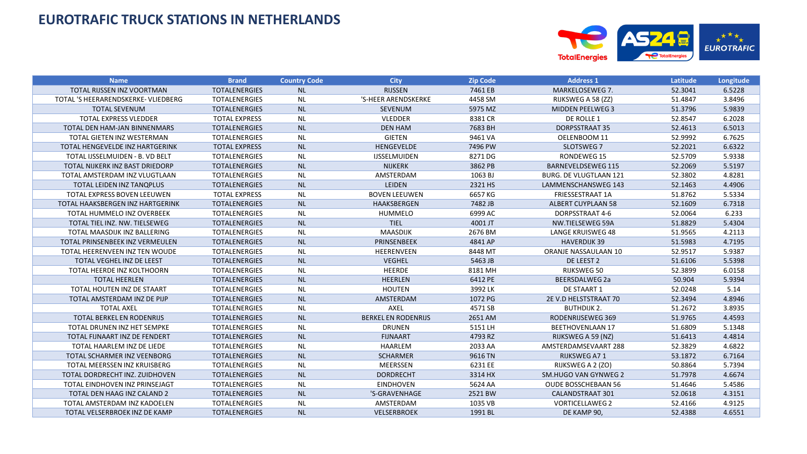

| <b>Name</b>                         | <b>Brand</b>         | <b>Country Code</b> | <b>City</b>                | <b>Zip Code</b> | <b>Address 1</b>              | Latitude | Longitude |
|-------------------------------------|----------------------|---------------------|----------------------------|-----------------|-------------------------------|----------|-----------|
| TOTAL RIJSSEN INZ VOORTMAN          | <b>TOTALENERGIES</b> | <b>NL</b>           | <b>RIJSSEN</b>             | 7461 EB         | MARKELOSEWEG 7.               | 52.3041  | 6.5228    |
| TOTAL 'S HEERARENDSKERKE- VLIEDBERG | <b>TOTALENERGIES</b> | <b>NL</b>           | 'S-HEER ARENDSKERKE        | 4458 SM         | RIJKSWEG A 58 (ZZ)            | 51.4847  | 3.8496    |
| <b>TOTAL SEVENUM</b>                | <b>TOTALENERGIES</b> | <b>NL</b>           | SEVENUM                    | 5975 MZ         | <b>MIDDEN PEELWEG 3</b>       | 51.3796  | 5.9839    |
| <b>TOTAL EXPRESS VLEDDER</b>        | <b>TOTAL EXPRESS</b> | <b>NL</b>           | <b>VLEDDER</b>             | 8381 CR         | DE ROLLE 1                    | 52.8547  | 6.2028    |
| TOTAL DEN HAM-JAN BINNENMARS        | <b>TOTALENERGIES</b> | <b>NL</b>           | <b>DEN HAM</b>             | 7683 BH         | <b>DORPSSTRAAT 35</b>         | 52.4613  | 6.5013    |
| TOTAL GIETEN INZ WESTERMAN          | <b>TOTALENERGIES</b> | <b>NL</b>           | <b>GIETEN</b>              | 9461 VA         | OELENBOOM 11                  | 52.9992  | 6.7625    |
| TOTAL HENGEVELDE INZ HARTGERINK     | <b>TOTAL EXPRESS</b> | <b>NL</b>           | HENGEVELDE                 | 7496 PW         | SLOTSWEG 7                    | 52.2021  | 6.6322    |
| TOTAL IJSSELMUIDEN - B. VD BELT     | <b>TOTALENERGIES</b> | <b>NL</b>           | <b>IJSSELMUIDEN</b>        | 8271 DG         | RONDEWEG 15                   | 52.5709  | 5.9338    |
| TOTAL NIJKERK INZ BAST DRIEDORP     | <b>TOTALENERGIES</b> | <b>NL</b>           | <b>NIJKERK</b>             | 3862 PB         | <b>BARNEVELDSEWEG 115</b>     | 52.2069  | 5.5197    |
| TOTAL AMSTERDAM INZ VLUGTLAAN       | <b>TOTALENERGIES</b> | <b>NL</b>           | AMSTERDAM                  | 1063 BJ         | <b>BURG. DE VLUGTLAAN 121</b> | 52.3802  | 4.8281    |
| TOTAL LEIDEN INZ TANQPLUS           | <b>TOTALENERGIES</b> | <b>NL</b>           | LEIDEN                     | 2321 HS         | LAMMENSCHANSWEG 143           | 52.1463  | 4.4906    |
| TOTAL EXPRESS BOVEN LEEUWEN         | <b>TOTAL EXPRESS</b> | <b>NL</b>           | <b>BOVEN LEEUWEN</b>       | 6657 KG         | FRIESSESTRAAT 1A              | 51.8762  | 5.5334    |
| TOTAL HAAKSBERGEN INZ HARTGERINK    | <b>TOTALENERGIES</b> | <b>NL</b>           | HAAKSBERGEN                | 7482 JB         | <b>ALBERT CUYPLAAN 58</b>     | 52.1609  | 6.7318    |
| TOTAL HUMMELO INZ OVERBEEK          | <b>TOTALENERGIES</b> | <b>NL</b>           | HUMMELO                    | 6999 AC         | DORPSSTRAAT 4-6               | 52.0064  | 6.233     |
| TOTAL TIEL INZ. NW. TIELSEWEG       | <b>TOTALENERGIES</b> | <b>NL</b>           | <b>TIEL</b>                | 4001 JT         | NW.TIELSEWEG 59A              | 51.8829  | 5.4304    |
| TOTAL MAASDIJK INZ BALLERING        | TOTALENERGIES        | <b>NL</b>           | <b>MAASDIJK</b>            | 2676 BM         | <b>LANGE KRUISWEG 48</b>      | 51.9565  | 4.2113    |
| TOTAL PRINSENBEEK INZ VERMEULEN     | <b>TOTALENERGIES</b> | <b>NL</b>           | PRINSENBEEK                | 4841 AP         | <b>HAVERDIJK 39</b>           | 51.5983  | 4.7195    |
| TOTAL HEERENVEEN INZ TEN WOUDE      | <b>TOTALENERGIES</b> | <b>NL</b>           | <b>HEERENVEEN</b>          | 8448 MT         | ORANJE NASSAULAAN 10          | 52.9517  | 5.9387    |
| TOTAL VEGHEL INZ DE LEEST           | <b>TOTALENERGIES</b> | <b>NL</b>           | <b>VEGHEL</b>              | 5463 JB         | DE LEEST 2                    | 51.6106  | 5.5398    |
| TOTAL HEERDE INZ KOLTHOORN          | <b>TOTALENERGIES</b> | <b>NL</b>           | HEERDE                     | 8181 MH         | RIJKSWEG 50                   | 52.3899  | 6.0158    |
| <b>TOTAL HEERLEN</b>                | <b>TOTALENERGIES</b> | <b>NL</b>           | <b>HEERLEN</b>             | 6412 PE         | <b>BEERSDALWEG 2a</b>         | 50.904   | 5.9394    |
| TOTAL HOUTEN INZ DE STAART          | <b>TOTALENERGIES</b> | <b>NL</b>           | <b>HOUTEN</b>              | 3992 LK         | DE STAART 1                   | 52.0248  | 5.14      |
| TOTAL AMSTERDAM INZ DE PIJP         | <b>TOTALENERGIES</b> | <b>NL</b>           | AMSTERDAM                  | 1072 PG         | 2E V.D HELSTSTRAAT 70         | 52.3494  | 4.8946    |
| <b>TOTAL AXEL</b>                   | <b>TOTALENERGIES</b> | <b>NL</b>           | AXEL                       | 4571 SB         | <b>BUTHDIJK 2.</b>            | 51.2672  | 3.8935    |
| <b>TOTAL BERKEL EN RODENRIJS</b>    | <b>TOTALENERGIES</b> | <b>NL</b>           | <b>BERKEL EN RODENRIJS</b> | 2651 AM         | RODENRIJSEWEG 369             | 51.9765  | 4.4593    |
| TOTAL DRUNEN INZ HET SEMPKE         | <b>TOTALENERGIES</b> | <b>NL</b>           | <b>DRUNEN</b>              | 5151 LH         | <b>BEETHOVENLAAN 17</b>       | 51.6809  | 5.1348    |
| TOTAL FIJNAART INZ DE FENDERT       | <b>TOTALENERGIES</b> | <b>NL</b>           | <b>FIJNAART</b>            | 4793 RZ         | RIJKSWEG A 59 (NZ)            | 51.6413  | 4.4814    |
| TOTAL HAARLEM INZ DE LIEDE          | <b>TOTALENERGIES</b> | <b>NL</b>           | HAARLEM                    | 2033 AA         | AMSTERDAMSEVAART 288          | 52.3829  | 4.6822    |
| TOTAL SCHARMER INZ VEENBORG         | <b>TOTALENERGIES</b> | <b>NL</b>           | <b>SCHARMER</b>            | 9616 TN         | RIJKSWEG A71                  | 53.1872  | 6.7164    |
| TOTAL MEERSSEN INZ KRUISBERG        | <b>TOTALENERGIES</b> | <b>NL</b>           | MEERSSEN                   | 6231 EE         | RIJKSWEG A 2 (ZO)             | 50.8864  | 5.7394    |
| TOTAL DORDRECHT INZ. ZUIDHOVEN      | <b>TOTALENERGIES</b> | <b>NL</b>           | <b>DORDRECHT</b>           | 3314 HX         | SM.HUGO VAN GYNWEG 2          | 51.7978  | 4.6674    |
| TOTAL EINDHOVEN INZ PRINSEJAGT      | <b>TOTALENERGIES</b> | <b>NL</b>           | <b>EINDHOVEN</b>           | 5624 AA         | <b>OUDE BOSSCHEBAAN 56</b>    | 51.4646  | 5.4586    |
| TOTAL DEN HAAG INZ CALAND 2         | <b>TOTALENERGIES</b> | <b>NL</b>           | 'S-GRAVENHAGE              | 2521 BW         | <b>CALANDSTRAAT 301</b>       | 52.0618  | 4.3151    |
| TOTAL AMSTERDAM INZ KADOELEN        | <b>TOTALENERGIES</b> | <b>NL</b>           | AMSTERDAM                  | 1035 VB         | <b>VORTICELLAWEG 2</b>        | 52.4166  | 4.9125    |
| TOTAL VELSERBROEK INZ DE KAMP       | <b>TOTALENERGIES</b> | <b>NL</b>           | <b>VELSERBROEK</b>         | 1991 BL         | DE KAMP 90,                   | 52.4388  | 4.6551    |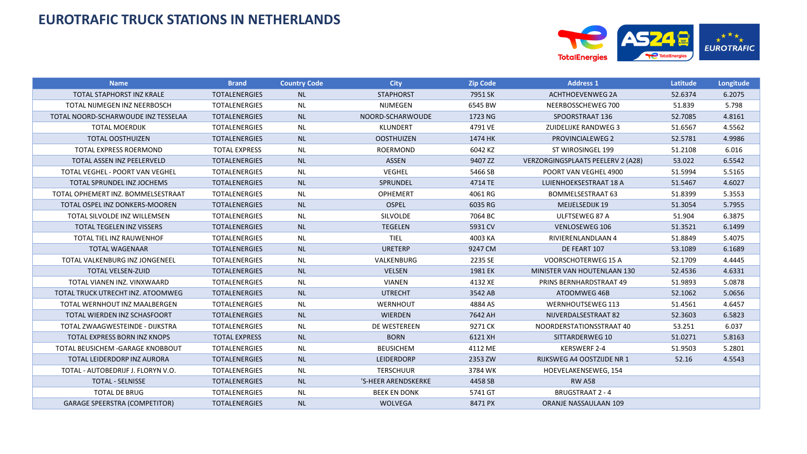

| <b>Name</b>                          | <b>Brand</b>         | <b>Country Code</b> | <b>City</b>         | <b>Zip Code</b> | <b>Address 1</b>                  | Latitude | Longitude |
|--------------------------------------|----------------------|---------------------|---------------------|-----------------|-----------------------------------|----------|-----------|
| TOTAL STAPHORST INZ KRALE            | <b>TOTALENERGIES</b> | <b>NL</b>           | <b>STAPHORST</b>    | 7951 SK         | <b>ACHTHOEVENWEG 2A</b>           | 52.6374  | 6.2075    |
| TOTAL NIJMEGEN INZ NEERBOSCH         | <b>TOTALENERGIES</b> | <b>NL</b>           | NIJMEGEN            | 6545 BW         | NEERBOSSCHEWEG 700                | 51.839   | 5.798     |
| TOTAL NOORD-SCHARWOUDE INZ TESSELAA  | <b>TOTALENERGIES</b> | <b>NL</b>           | NOORD-SCHARWOUDE    | 1723 NG         | SPOORSTRAAT 136                   | 52.7085  | 4.8161    |
| <b>TOTAL MOERDIJK</b>                | <b>TOTALENERGIES</b> | <b>NL</b>           | <b>KLUNDERT</b>     | 4791 VE         | <b>ZUIDELIJKE RANDWEG 3</b>       | 51.6567  | 4.5562    |
| <b>TOTAL OOSTHUIZEN</b>              | <b>TOTALENERGIES</b> | NL                  | <b>OOSTHUIZEN</b>   | 1474 HK         | <b>PROVINCIALEWEG 2</b>           | 52.5781  | 4.9986    |
| <b>TOTAL EXPRESS ROERMOND</b>        | <b>TOTAL EXPRESS</b> | <b>NL</b>           | <b>ROERMOND</b>     | 6042 KZ         | ST WIROSINGEL 199                 | 51.2108  | 6.016     |
| TOTAL ASSEN INZ PEELERVELD           | <b>TOTALENERGIES</b> | <b>NL</b>           | <b>ASSEN</b>        | 9407 ZZ         | VERZORGINGSPLAATS PEELERV 2 (A28) | 53.022   | 6.5542    |
| TOTAL VEGHEL - POORT VAN VEGHEL      | <b>TOTALENERGIES</b> | NL                  | <b>VEGHEL</b>       | 5466 SB         | POORT VAN VEGHEL 4900             | 51.5994  | 5.5165    |
| TOTAL SPRUNDEL INZ JOCHEMS           | <b>TOTALENERGIES</b> | <b>NL</b>           | SPRUNDEL            | 4714 TE         | LUIENHOEKSESTRAAT 18 A            | 51.5467  | 4.6027    |
| TOTAL OPHEMERT INZ. BOMMELSESTRAAT   | <b>TOTALENERGIES</b> | <b>NL</b>           | <b>OPHEMERT</b>     | 4061 RG         | BOMMELSESTRAAT 63                 | 51.8399  | 5.3553    |
| TOTAL OSPEL INZ DONKERS-MOOREN       | <b>TOTALENERGIES</b> | <b>NL</b>           | <b>OSPEL</b>        | 6035 RG         | <b>MEIJELSEDIJK 19</b>            | 51.3054  | 5.7955    |
| TOTAL SILVOLDE INZ WILLEMSEN         | <b>TOTALENERGIES</b> | <b>NL</b>           | <b>SILVOLDE</b>     | 7064 BC         | ULFTSEWEG 87 A                    | 51.904   | 6.3875    |
| <b>TOTAL TEGELEN INZ VISSERS</b>     | <b>TOTALENERGIES</b> | <b>NL</b>           | <b>TEGELEN</b>      | 5931 CV         | <b>VENLOSEWEG 106</b>             | 51.3521  | 6.1499    |
| TOTAL TIEL INZ RAUWENHOF             | <b>TOTALENERGIES</b> | <b>NL</b>           | <b>TIEL</b>         | 4003 KA         | RIVIERENLANDLAAN 4                | 51.8849  | 5.4075    |
| <b>TOTAL WAGENAAR</b>                | <b>TOTALENERGIES</b> | NL                  | <b>URETERP</b>      | 9247 CM         | DE FEART 107                      | 53.1089  | 6.1689    |
| TOTAL VALKENBURG INZ JONGENEEL       | <b>TOTALENERGIES</b> | <b>NL</b>           | VALKENBURG          | 2235 SE         | VOORSCHOTERWEG 15 A               | 52.1709  | 4.4445    |
| <b>TOTAL VELSEN-ZUID</b>             | <b>TOTALENERGIES</b> | <b>NL</b>           | <b>VELSEN</b>       | 1981 EK         | MINISTER VAN HOUTENLAAN 130       | 52.4536  | 4.6331    |
| TOTAL VIANEN INZ. VINXWAARD          | <b>TOTALENERGIES</b> | <b>NL</b>           | <b>VIANEN</b>       | 4132 XE         | PRINS BERNHARDSTRAAT 49           | 51.9893  | 5.0878    |
| TOTAL TRUCK UTRECHT INZ. ATOOMWEG    | <b>TOTALENERGIES</b> | <b>NL</b>           | <b>UTRECHT</b>      | 3542 AB         | ATOOMWEG 46B                      | 52.1062  | 5.0656    |
| TOTAL WERNHOUT INZ MAALBERGEN        | <b>TOTALENERGIES</b> | <b>NL</b>           | <b>WERNHOUT</b>     | 4884 AS         | <b>WERNHOUTSEWEG 113</b>          | 51.4561  | 4.6457    |
| TOTAL WIERDEN INZ SCHASFOORT         | <b>TOTALENERGIES</b> | <b>NL</b>           | <b>WIERDEN</b>      | 7642 AH         | NIJVERDALSESTRAAT 82              | 52.3603  | 6.5823    |
| TOTAL ZWAAGWESTEINDE - DIJKSTRA      | <b>TOTALENERGIES</b> | <b>NL</b>           | DE WESTEREEN        | 9271 CK         | NOORDERSTATIONSSTRAAT 40          | 53.251   | 6.037     |
| <b>TOTAL EXPRESS BORN INZ KNOPS</b>  | <b>TOTAL EXPRESS</b> | <b>NL</b>           | <b>BORN</b>         | 6121 XH         | SITTARDERWEG 10                   | 51.0271  | 5.8163    |
| TOTAL BEUSICHEM - GARAGE KNOBBOUT    | <b>TOTALENERGIES</b> | <b>NL</b>           | <b>BEUSICHEM</b>    | 4112 ME         | <b>KERSWERF 2-4</b>               | 51.9503  | 5.2801    |
| TOTAL LEIDERDORP INZ AURORA          | <b>TOTALENERGIES</b> | <b>NL</b>           | <b>LEIDERDORP</b>   | 2353 ZW         | <b>RIJKSWEG A4 OOSTZIJDE NR 1</b> | 52.16    | 4.5543    |
| TOTAL - AUTOBEDRIJF J. FLORYN V.O.   | <b>TOTALENERGIES</b> | <b>NL</b>           | <b>TERSCHUUR</b>    | 3784 WK         | HOEVELAKENSEWEG, 154              |          |           |
| <b>TOTAL - SELNISSE</b>              | <b>TOTALENERGIES</b> | <b>NL</b>           | 'S-HEER ARENDSKERKE | 4458 SB         | <b>RW A58</b>                     |          |           |
| <b>TOTAL DE BRUG</b>                 | <b>TOTALENERGIES</b> | <b>NL</b>           | <b>BEEK EN DONK</b> | 5741 GT         | <b>BRUGSTRAAT 2 - 4</b>           |          |           |
| <b>GARAGE SPEERSTRA (COMPETITOR)</b> | <b>TOTALENERGIES</b> | <b>NL</b>           | <b>WOLVEGA</b>      | 8471 PX         | ORANJE NASSAULAAN 109             |          |           |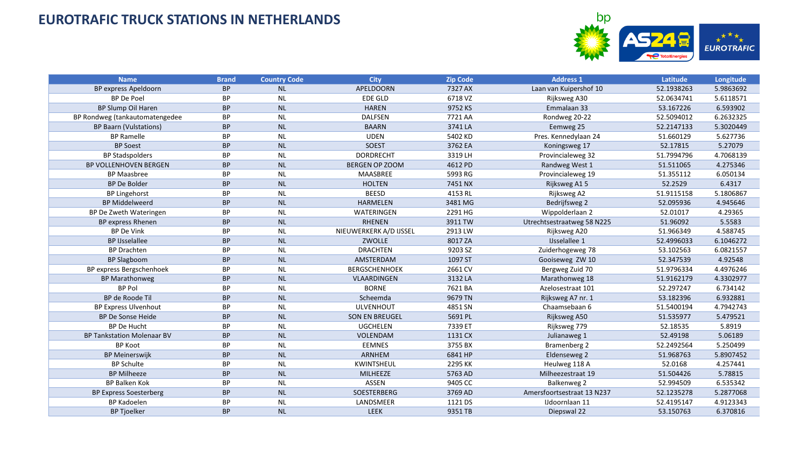

| <b>Name</b>                       | <b>Brand</b> | <b>Country Code</b> | <b>City</b>            | <b>Zip Code</b> | <b>Address 1</b>           | Latitude   | Longitude |
|-----------------------------------|--------------|---------------------|------------------------|-----------------|----------------------------|------------|-----------|
| BP express Apeldoorn              | <b>BP</b>    | <b>NL</b>           | <b>APELDOORN</b>       | 7327 AX         | Laan van Kuipershof 10     | 52.1938263 | 5.9863692 |
| <b>BP</b> De Poel                 | <b>BP</b>    | <b>NL</b>           | <b>EDE GLD</b>         | 6718 VZ         | Rijksweg A30               | 52.0634741 | 5.6118571 |
| BP Slump Oil Haren                | <b>BP</b>    | <b>NL</b>           | <b>HAREN</b>           | 9752 KS         | Emmalaan 33                | 53.167226  | 6.593902  |
| BP Rondweg (tankautomatengedee    | BP           | <b>NL</b>           | <b>DALFSEN</b>         | 7721 AA         | Rondweg 20-22              | 52.5094012 | 6.2632325 |
| <b>BP Baarn (Vulstations)</b>     | <b>BP</b>    | <b>NL</b>           | <b>BAARN</b>           | 3741 LA         | Eemweg 25                  | 52.2147133 | 5.3020449 |
| <b>BP Ramelle</b>                 | BP           | <b>NL</b>           | <b>UDEN</b>            | 5402 KD         | Pres. Kennedylaan 24       | 51.660129  | 5.627736  |
| <b>BP Soest</b>                   | <b>BP</b>    | <b>NL</b>           | SOEST                  | 3762 EA         | Koningsweg 17              | 52.17815   | 5.27079   |
| <b>BP Stadspolders</b>            | BP           | <b>NL</b>           | <b>DORDRECHT</b>       | 3319 LH         | Provincialeweg 32          | 51.7994796 | 4.7068139 |
| BP VOLLENHOVEN BERGEN             | <b>BP</b>    | <b>NL</b>           | <b>BERGEN OP ZOOM</b>  | 4612 PD         | Randweg West 1             | 51.511065  | 4.275346  |
| <b>BP Maasbree</b>                | BP           | <b>NL</b>           | MAASBREE               | 5993 RG         | Provincialeweg 19          | 51.355112  | 6.050134  |
| <b>BP De Bolder</b>               | <b>BP</b>    | NL                  | <b>HOLTEN</b>          | 7451 NX         | Rijksweg A15               | 52.2529    | 6.4317    |
| <b>BP Lingehorst</b>              | BP           | <b>NL</b>           | <b>BEESD</b>           | 4153 RL         | Rijksweg A2                | 51.9115158 | 5.1806867 |
| <b>BP Middelweerd</b>             | <b>BP</b>    | <b>NL</b>           | <b>HARMELEN</b>        | 3481 MG         | Bedrijfsweg 2              | 52.095936  | 4.945646  |
| BP De Zweth Wateringen            | ВP           | <b>NL</b>           | WATERINGEN             | 2291 HG         | Wippolderlaan 2            | 52.01017   | 4.29365   |
| BP express Rhenen                 | <b>BP</b>    | <b>NL</b>           | <b>RHENEN</b>          | 3911 TW         | Utrechtsestraatweg 58 N225 | 51.96092   | 5.5583    |
| <b>BP De Vink</b>                 | BP           | <b>NL</b>           | NIEUWERKERK A/D IJSSEL | 2913 LW         | Rijksweg A20               | 51.966349  | 4.588745  |
| <b>BP IJsselallee</b>             | <b>BP</b>    | <b>NL</b>           | ZWOLLE                 | 8017 ZA         | <b>IJsselallee 1</b>       | 52.4996033 | 6.1046272 |
| <b>BP Drachten</b>                | <b>BP</b>    | <b>NL</b>           | <b>DRACHTEN</b>        | 9203 SZ         | Zuiderhogeweg 78           | 53.102563  | 6.0821557 |
| <b>BP Slagboom</b>                | <b>BP</b>    | <b>NL</b>           | AMSTERDAM              | 1097 ST         | Gooiseweg ZW 10            | 52.347539  | 4.92548   |
| BP express Bergschenhoek          | <b>BP</b>    | <b>NL</b>           | <b>BERGSCHENHOEK</b>   | 2661 CV         | Bergweg Zuid 70            | 51.9796334 | 4.4976246 |
| <b>BP Marathonweg</b>             | <b>BP</b>    | <b>NL</b>           | VLAARDINGEN            | 3132 LA         | Marathonweg 18             | 51.9162179 | 4.3302977 |
| <b>BP Pol</b>                     | <b>BP</b>    | <b>NL</b>           | <b>BORNE</b>           | 7621 BA         | Azelosestraat 101          | 52.297247  | 6.734142  |
| BP de Roode Til                   | <b>BP</b>    | <b>NL</b>           | Scheemda               | 9679 TN         | Rijksweg A7 nr. 1          | 53.182396  | 6.932881  |
| <b>BP Express Ulvenhout</b>       | <b>BP</b>    | <b>NL</b>           | <b>ULVENHOUT</b>       | 4851 SN         | Chaamsebaan 6              | 51.5400194 | 4.7942743 |
| <b>BP De Sonse Heide</b>          | <b>BP</b>    | <b>NL</b>           | <b>SON EN BREUGEL</b>  | 5691 PL         | Rijksweg A50               | 51.535977  | 5.479521  |
| <b>BP De Hucht</b>                | <b>BP</b>    | <b>NL</b>           | <b>UGCHELEN</b>        | 7339 ET         | Rijksweg 779               | 52.18535   | 5.8919    |
| <b>BP Tankstation Molenaar BV</b> | <b>BP</b>    | <b>NL</b>           | VOLENDAM               | 1131 CX         | Julianaweg 1               | 52.49198   | 5.06189   |
| <b>BP Koot</b>                    | <b>BP</b>    | <b>NL</b>           | <b>EEMNES</b>          | 3755 BX         | <b>Bramenberg 2</b>        | 52.2492564 | 5.250499  |
| <b>BP Meinerswijk</b>             | <b>BP</b>    | <b>NL</b>           | <b>ARNHEM</b>          | 6841 HP         | Eldenseweg 2               | 51.968763  | 5.8907452 |
| <b>BP Schulte</b>                 | BP           | <b>NL</b>           | KWINTSHEUL             | 2295 KK         | Heulweg 118 A              | 52.0168    | 4.257441  |
| <b>BP Milheeze</b>                | <b>BP</b>    | <b>NL</b>           | <b>MILHEEZE</b>        | 5763 AD         | Milheezestraat 19          | 51.504426  | 5.78815   |
| <b>BP Balken Kok</b>              | <b>BP</b>    | <b>NL</b>           | <b>ASSEN</b>           | 9405 CC         | <b>Balkenweg 2</b>         | 52.994509  | 6.535342  |
| <b>BP Express Soesterberg</b>     | <b>BP</b>    | <b>NL</b>           | SOESTERBERG            | 3769 AD         | Amersfoortsestraat 13 N237 | 52.1235278 | 5.2877068 |
| <b>BP Kadoelen</b>                | BP           | <b>NL</b>           | LANDSMEER              | 1121 DS         | IJdoornlaan 11             | 52.4195147 | 4.9123343 |
| <b>BP Tjoelker</b>                | <b>BP</b>    | NL                  | LEEK                   | 9351 TB         | Diepswal 22                | 53.150763  | 6.370816  |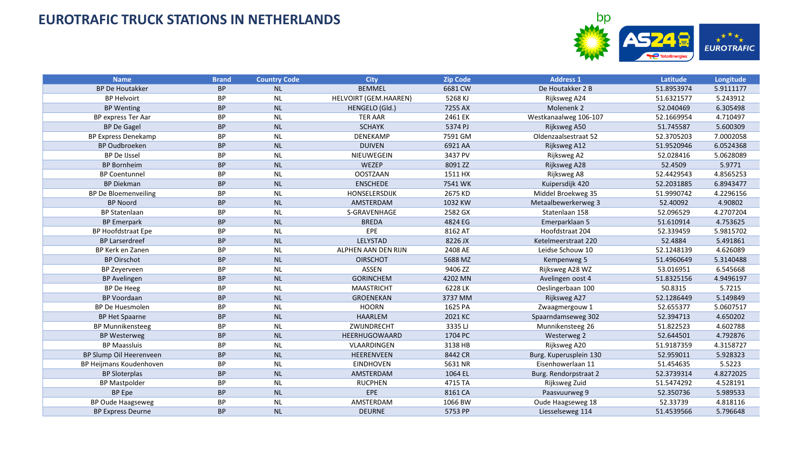

| <b>Name</b>                 | <b>Brand</b> | <b>Country Code</b> | <b>City</b>           | <b>Zip Code</b> | <b>Address 1</b>       | Latitude   | Longitude |
|-----------------------------|--------------|---------------------|-----------------------|-----------------|------------------------|------------|-----------|
| <b>BP De Houtakker</b>      | <b>BP</b>    | <b>NL</b>           | <b>BEMMEL</b>         | 6681 CW         | De Houtakker 2 B       | 51.8953974 | 5.9111177 |
| <b>BP Helvoirt</b>          | <b>BP</b>    | <b>NL</b>           | HELVOIRT (GEM.HAAREN) | 5268 KJ         | Rijksweg A24           | 51.6321577 | 5.243912  |
| <b>BP</b> Wenting           | <b>BP</b>    | <b>NL</b>           | HENGELO (Gld.)        | 7255 AX         | Molenenk 2             | 52.040469  | 6.305498  |
| BP express Ter Aar          | <b>BP</b>    | <b>NL</b>           | <b>TER AAR</b>        | 2461 EK         | Westkanaalweg 106-107  | 52.1669954 | 4.710497  |
| <b>BP De Gagel</b>          | <b>BP</b>    | NL                  | <b>SCHAYK</b>         | 5374 PJ         | Rijksweg A50           | 51.745587  | 5.600309  |
| <b>BP Express Denekamp</b>  | BP           | <b>NL</b>           | DENEKAMP              | 7591 GM         | Oldenzaalsestraat 52   | 52.3705203 | 7.0002058 |
| <b>BP Oudbroeken</b>        | <b>BP</b>    | <b>NL</b>           | <b>DUIVEN</b>         | 6921 AA         | Rijksweg A12           | 51.9520946 | 6.0524368 |
| <b>BP De IJssel</b>         | BP           | <b>NL</b>           | NIEUWEGEIN            | 3437 PV         | Rijksweg A2            | 52.028416  | 5.0628089 |
| <b>BP Bornheim</b>          | <b>BP</b>    | <b>NL</b>           | WEZEP                 | 8091 ZZ         | Rijksweg A28           | 52.4509    | 5.9771    |
| <b>BP Coentunnel</b>        | <b>BP</b>    | <b>NL</b>           | <b>OOSTZAAN</b>       | 1511 HX         | Rijksweg A8            | 52.4429543 | 4.8565253 |
| <b>BP Diekman</b>           | <b>BP</b>    | NL                  | <b>ENSCHEDE</b>       | 7541 WK         | Kuipersdijk 420        | 52.2031885 | 6.8943477 |
| <b>BP De Bloemenveiling</b> | BP           | <b>NL</b>           | HONSELERSDIJK         | 2675 KD         | Middel Broekweg 35     | 51.9990742 | 4.2296156 |
| <b>BP Noord</b>             | <b>BP</b>    | NL                  | AMSTERDAM             | 1032 KW         | Metaalbewerkerweg 3    | 52.40092   | 4.90802   |
| <b>BP Statenlaan</b>        | <b>BP</b>    | <b>NL</b>           | S-GRAVENHAGE          | 2582 GX         | Statenlaan 158         | 52.096529  | 4.2707204 |
| <b>BP Emerpark</b>          | <b>BP</b>    | NL                  | <b>BREDA</b>          | 4824 EG         | Emerparklaan 5         | 51.610914  | 4.753625  |
| <b>BP Hoofdstraat Epe</b>   | <b>BP</b>    | <b>NL</b>           | EPE                   | 8162 AT         | Hoofdstraat 204        | 52.339459  | 5.9815702 |
| <b>BP Larserdreef</b>       | <b>BP</b>    | <b>NL</b>           | LELYSTAD              | 8226 JX         | Ketelmeerstraat 220    | 52.4884    | 5.491861  |
| BP Kerk en Zanen            | <b>BP</b>    | <b>NL</b>           | ALPHEN AAN DEN RIJN   | 2408 AE         | Leidse Schouw 10       | 52.1248139 | 4.626089  |
| <b>BP Oirschot</b>          | <b>BP</b>    | <b>NL</b>           | <b>OIRSCHOT</b>       | 5688 MZ         | Kempenweg 5            | 51.4960649 | 5.3140488 |
| BP Zeyerveen                | <b>BP</b>    | <b>NL</b>           | <b>ASSEN</b>          | 9406 ZZ         | Rijksweg A28 WZ        | 53.016951  | 6.545668  |
| <b>BP Avelingen</b>         | <b>BP</b>    | NL                  | <b>GORINCHEM</b>      | 4202 MN         | Avelingen oost 4       | 51.8325156 | 4.9496197 |
| BP De Heeg                  | <b>BP</b>    | <b>NL</b>           | <b>MAASTRICHT</b>     | 6228 LK         | Oeslingerbaan 100      | 50.8315    | 5.7215    |
| <b>BP Voordaan</b>          | <b>BP</b>    | <b>NL</b>           | <b>GROENEKAN</b>      | 3737 MM         | Rijksweg A27           | 52.1286449 | 5.149849  |
| <b>BP De Huesmolen</b>      | <b>BP</b>    | <b>NL</b>           | <b>HOORN</b>          | 1625 PA         | Zwaagmergouw 1         | 52.655377  | 5.0607517 |
| <b>BP Het Spaarne</b>       | <b>BP</b>    | <b>NL</b>           | <b>HAARLEM</b>        | 2021 KC         | Spaarndamseweg 302     | 52.394713  | 4.650202  |
| <b>BP Munnikensteeg</b>     | <b>BP</b>    | <b>NL</b>           | ZWIJNDRECHT           | 3335LJ          | Munnikensteeg 26       | 51.822523  | 4.602788  |
| <b>BP Westerweg</b>         | <b>BP</b>    | <b>NL</b>           | HEERHUGOWAARD         | 1704 PC         | Westerweg 2            | 52.644501  | 4.792876  |
| <b>BP Maassluis</b>         | <b>BP</b>    | <b>NL</b>           | VLAARDINGEN           | 3138 HB         | Rijksweg A20           | 51.9187359 | 4.3158727 |
| BP Slump Oil Heerenveen     | <b>BP</b>    | <b>NL</b>           | HEERENVEEN            | 8442 CR         | Burg. Kuperusplein 130 | 52.959011  | 5.928323  |
| BP Heijmans Koudenhoven     | <b>BP</b>    | <b>NL</b>           | <b>EINDHOVEN</b>      | 5631 NR         | Eisenhowerlaan 11      | 51.454635  | 5.5223    |
| <b>BP Sloterplas</b>        | <b>BP</b>    | <b>NL</b>           | AMSTERDAM             | 1064 EL         | Burg. Rendorpstraat 2  | 52.3739314 | 4.8272025 |
| <b>BP Mastpolder</b>        | <b>BP</b>    | <b>NL</b>           | <b>RUCPHEN</b>        | 4715 TA         | Rijksweg Zuid          | 51.5474292 | 4.528191  |
| <b>BP</b> Epe               | <b>BP</b>    | <b>NL</b>           | <b>EPE</b>            | 8161 CA         | Paasvuurweg 9          | 52.350736  | 5.989533  |
| <b>BP Oude Haagseweg</b>    | <b>BP</b>    | <b>NL</b>           | AMSTERDAM             | 1066 BW         | Oude Haagseweg 18      | 52.33739   | 4.818116  |
| <b>BP Express Deurne</b>    | <b>BP</b>    | NL                  | <b>DEURNE</b>         | 5753 PP         | Liesselseweg 114       | 51.4539566 | 5.796648  |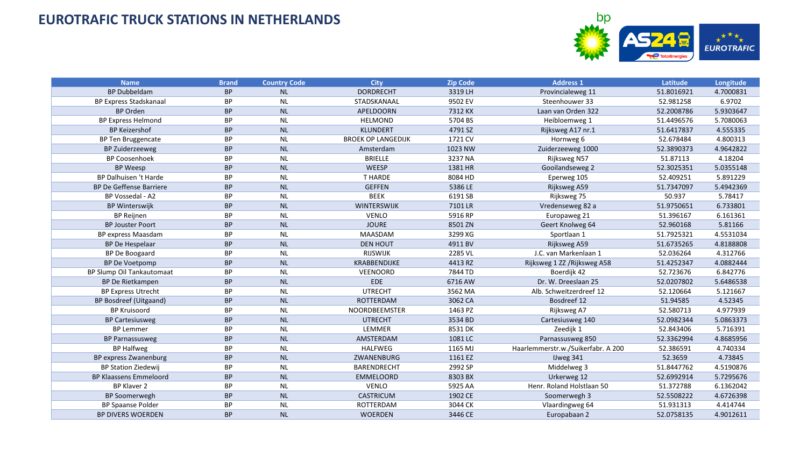

| <b>Name</b>                   | <b>Brand</b> | <b>Country Code</b> | <b>City</b>               | Zip Code | <b>Address 1</b>                   | Latitude   | Longitude |
|-------------------------------|--------------|---------------------|---------------------------|----------|------------------------------------|------------|-----------|
| <b>BP Dubbeldam</b>           | <b>BP</b>    | <b>NL</b>           | <b>DORDRECHT</b>          | 3319 LH  | Provincialeweg 11                  | 51.8016921 | 4.7000831 |
| <b>BP Express Stadskanaal</b> | <b>BP</b>    | <b>NL</b>           | STADSKANAAL               | 9502 EV  | Steenhouwer 33                     | 52.981258  | 6.9702    |
| <b>BP Orden</b>               | <b>BP</b>    | <b>NL</b>           | APELDOORN                 | 7312 KX  | Laan van Orden 322                 | 52.2008786 | 5.9303647 |
| <b>BP Express Helmond</b>     | <b>BP</b>    | <b>NL</b>           | <b>HELMOND</b>            | 5704 BS  | Heibloemweg 1                      | 51.4496576 | 5.7080063 |
| <b>BP Keizershof</b>          | <b>BP</b>    | <b>NL</b>           | <b>KLUNDERT</b>           | 4791 SZ  | Rijksweg A17 nr.1                  | 51.6417837 | 4.555335  |
| BP Ten Bruggencate            | BP           | <b>NL</b>           | <b>BROEK OP LANGEDIJK</b> | 1721 CV  | Hornweg 6                          | 52.678484  | 4.800313  |
| <b>BP Zuiderzeeweg</b>        | <b>BP</b>    | <b>NL</b>           | Amsterdam                 | 1023 NW  | Zuiderzeeweg 1000                  | 52.3890373 | 4.9642822 |
| <b>BP Coosenhoek</b>          | <b>BP</b>    | <b>NL</b>           | <b>BRIELLE</b>            | 3237 NA  | Rijksweg N57                       | 51.87113   | 4.18204   |
| <b>BP Weesp</b>               | <b>BP</b>    | NL                  | WEESP                     | 1381 HR  | Gooilandseweg 2                    | 52.3025351 | 5.0355148 |
| BP Dalhuisen 't Harde         | <b>BP</b>    | <b>NL</b>           | <b>THARDE</b>             | 8084 HD  | Eperweg 105                        | 52.409251  | 5.891229  |
| BP De Geffense Barriere       | <b>BP</b>    | <b>NL</b>           | <b>GEFFEN</b>             | 5386 LE  | Rijksweg A59                       | 51.7347097 | 5.4942369 |
| BP Vossedal - A2              | BP           | <b>NL</b>           | <b>BEEK</b>               | 6191 SB  | Rijksweg 75                        | 50.937     | 5.78417   |
| <b>BP Winterswijk</b>         | <b>BP</b>    | NL                  | WINTERSWIJK               | 7101 LR  | Vredenseweg 82 a                   | 51.9750651 | 6.733801  |
| <b>BP Reijnen</b>             | <b>BP</b>    | <b>NL</b>           | <b>VENLO</b>              | 5916 RP  | Europaweg 21                       | 51.396167  | 6.161361  |
| <b>BP Jouster Poort</b>       | <b>BP</b>    | NL                  | <b>JOURE</b>              | 8501 ZN  | Geert Knolweg 64                   | 52.960168  | 5.81166   |
| BP express Maasdam            | BP           | <b>NL</b>           | <b>MAASDAM</b>            | 3299 XG  | Sportlaan 1                        | 51.7925321 | 4.5531034 |
| <b>BP De Hespelaar</b>        | <b>BP</b>    | <b>NL</b>           | <b>DEN HOUT</b>           | 4911 BV  | Rijksweg A59                       | 51.6735265 | 4.8188808 |
| BP De Boogaard                | <b>BP</b>    | <b>NL</b>           | <b>RIJSWIJK</b>           | 2285 VL  | J.C. van Markenlaan 1              | 52.036264  | 4.312766  |
| <b>BP De Voetpomp</b>         | <b>BP</b>    | <b>NL</b>           | KRABBENDIJKE              | 4413 RZ  | Rijksweg 1 ZZ / Rijksweg A58       | 51.4252347 | 4.0882444 |
| BP Slump Oil Tankautomaat     | <b>BP</b>    | <b>NL</b>           | <b>VEENOORD</b>           | 7844 TD  | Boerdijk 42                        | 52.723676  | 6.842776  |
| BP De Rietkampen              | <b>BP</b>    | <b>NL</b>           | <b>EDE</b>                | 6716 AW  | Dr. W. Dreeslaan 25                | 52.0207802 | 5.6486538 |
| <b>BP Express Utrecht</b>     | <b>BP</b>    | <b>NL</b>           | <b>UTRECHT</b>            | 3562 MA  | Alb. Schweitzerdreef 12            | 52.120664  | 5.121667  |
| BP Bosdreef (Uitgaand)        | <b>BP</b>    | <b>NL</b>           | <b>ROTTERDAM</b>          | 3062 CA  | Bosdreef 12                        | 51.94585   | 4.52345   |
| <b>BP Kruisoord</b>           | <b>BP</b>    | <b>NL</b>           | NOORDBEEMSTER             | 1463 PZ  | Rijksweg A7                        | 52.580713  | 4.977939  |
| <b>BP Cartesiusweg</b>        | <b>BP</b>    | <b>NL</b>           | <b>UTRECHT</b>            | 3534 BD  | Cartesiusweg 140                   | 52.0982344 | 5.0863373 |
| <b>BP Lemmer</b>              | <b>BP</b>    | <b>NL</b>           | LEMMER                    | 8531 DK  | Zeedijk 1                          | 52.843406  | 5.716391  |
| <b>BP Parnassusweg</b>        | <b>BP</b>    | <b>NL</b>           | AMSTERDAM                 | 1081 LC  | Parnassusweg 850                   | 52.3362994 | 4.8685956 |
| <b>BP Halfweg</b>             | <b>BP</b>    | <b>NL</b>           | <b>HALFWEG</b>            | 1165 MJ  | Haarlemmerstr.w./Suikerfabr. A 200 | 52.386591  | 4.740334  |
| BP express Zwanenburg         | <b>BP</b>    | <b>NL</b>           | ZWANENBURG                | 1161 EZ  | IJweg 341                          | 52.3659    | 4.73845   |
| <b>BP Station Ziedewij</b>    | <b>BP</b>    | <b>NL</b>           | <b>BARENDRECHT</b>        | 2992 SP  | Middelweg 3                        | 51.8447762 | 4.5190876 |
| <b>BP Klaassens Emmeloord</b> | <b>BP</b>    | <b>NL</b>           | EMMELOORD                 | 8303 BX  | Urkerweg 12                        | 52.6992914 | 5.7295676 |
| <b>BP Klaver 2</b>            | <b>BP</b>    | <b>NL</b>           | <b>VENLO</b>              | 5925 AA  | Henr. Roland Holstlaan 50          | 51.372788  | 6.1362042 |
| <b>BP Soomerwegh</b>          | <b>BP</b>    | <b>NL</b>           | <b>CASTRICUM</b>          | 1902 CE  | Soomerwegh 3                       | 52.5508222 | 4.6726398 |
| <b>BP Spaanse Polder</b>      | BP           | <b>NL</b>           | ROTTERDAM                 | 3044 CK  | Vlaardingweg 64                    | 51.931313  | 4.414744  |
| <b>BP DIVERS WOERDEN</b>      | <b>BP</b>    | NL                  | <b>WOERDEN</b>            | 3446 CE  | Europabaan 2                       | 52.0758135 | 4.9012611 |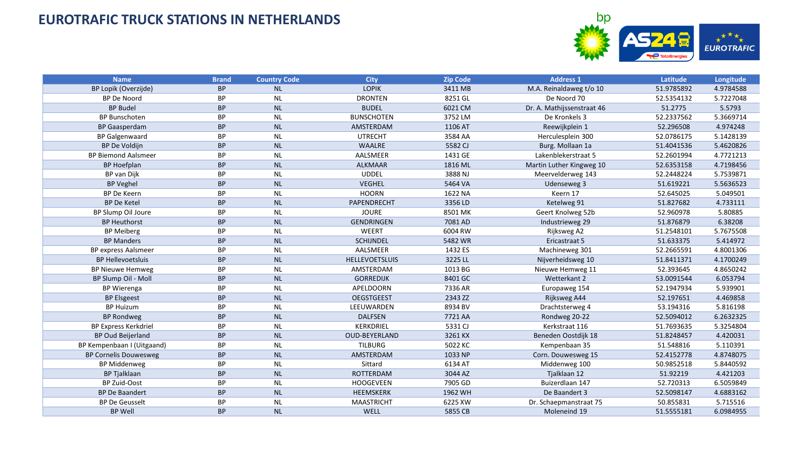

| <b>Name</b>                  | <b>Brand</b> | <b>Country Code</b> | <b>City</b>           | <b>Zip Code</b> | <b>Address 1</b>           | Latitude   | Longitude |
|------------------------------|--------------|---------------------|-----------------------|-----------------|----------------------------|------------|-----------|
| BP Lopik (Overzijde)         | <b>BP</b>    | <b>NL</b>           | <b>LOPIK</b>          | 3411 MB         | M.A. Reinaldaweg t/o 10    | 51.9785892 | 4.9784588 |
| <b>BP De Noord</b>           | BP           | <b>NL</b>           | <b>DRONTEN</b>        | 8251 GL         | De Noord 70                | 52.5354132 | 5.7227048 |
| <b>BP Budel</b>              | <b>BP</b>    | <b>NL</b>           | <b>BUDEL</b>          | 6021 CM         | Dr. A. Mathijssenstraat 46 | 51.2775    | 5.5793    |
| <b>BP Bunschoten</b>         | BP           | <b>NL</b>           | <b>BUNSCHOTEN</b>     | 3752 LM         | De Kronkels 3              | 52.2337562 | 5.3669714 |
| <b>BP</b> Gaasperdam         | <b>BP</b>    | <b>NL</b>           | AMSTERDAM             | 1106 AT         | Reewijkplein 1             | 52.296508  | 4.974248  |
| <b>BP Galgenwaard</b>        | <b>BP</b>    | <b>NL</b>           | <b>UTRECHT</b>        | 3584 AA         | Herculesplein 300          | 52.0786175 | 5.1428139 |
| BP De Voldijn                | <b>BP</b>    | <b>NL</b>           | <b>WAALRE</b>         | 5582 CJ         | Burg. Mollaan 1a           | 51.4041536 | 5.4620826 |
| <b>BP Biemond Aalsmeer</b>   | <b>BP</b>    | <b>NL</b>           | AALSMEER              | 1431 GE         | Lakenblekerstraat 5        | 52.2601994 | 4.7721213 |
| <b>BP Hoefplan</b>           | <b>BP</b>    | <b>NL</b>           | <b>ALKMAAR</b>        | 1816 ML         | Martin Luther Kingweg 10   | 52.6353158 | 4.7198456 |
| BP van Dijk                  | <b>BP</b>    | <b>NL</b>           | <b>UDDEL</b>          | 3888 NJ         | Meervelderweg 143          | 52.2448224 | 5.7539871 |
| <b>BP Veghel</b>             | <b>BP</b>    | <b>NL</b>           | <b>VEGHEL</b>         | 5464 VA         | Udenseweg 3                | 51.619221  | 5.5636523 |
| <b>BP De Keern</b>           | <b>BP</b>    | <b>NL</b>           | <b>HOORN</b>          | 1622 NA         | Keern 17                   | 52.645025  | 5.049501  |
| <b>BP De Ketel</b>           | <b>BP</b>    | <b>NL</b>           | PAPENDRECHT           | 3356 LD         | Ketelweg 91                | 51.827682  | 4.733111  |
| BP Slump Oil Joure           | BP           | <b>NL</b>           | <b>JOURE</b>          | 8501 MK         | Geert Knolweg 52b          | 52.960978  | 5.80885   |
| <b>BP Heuthorst</b>          | <b>BP</b>    | <b>NL</b>           | <b>GENDRINGEN</b>     | 7081 AD         | Industrieweg 29            | 51.876879  | 6.38208   |
| <b>BP Meiberg</b>            | BP           | <b>NL</b>           | WEERT                 | 6004 RW         | Rijksweg A2                | 51.2548101 | 5.7675508 |
| <b>BP Manders</b>            | <b>BP</b>    | <b>NL</b>           | <b>SCHIJNDEL</b>      | 5482 WR         | Ericastraat 5              | 51.633375  | 5.414972  |
| <b>BP express Aalsmeer</b>   | BP           | <b>NL</b>           | AALSMEER              | 1432 ES         | Machineweg 301             | 52.2665591 | 4.8001306 |
| <b>BP Hellevoetsluis</b>     | <b>BP</b>    | <b>NL</b>           | <b>HELLEVOETSLUIS</b> | 3225 LL         | Nijverheidsweg 10          | 51.8411371 | 4.1700249 |
| <b>BP Nieuwe Hemweg</b>      | <b>BP</b>    | <b>NL</b>           | AMSTERDAM             | 1013 BG         | Nieuwe Hemweg 11           | 52.393645  | 4.8650242 |
| BP Slump Oil - Moll          | <b>BP</b>    | <b>NL</b>           | <b>GORREDIJK</b>      | 8401 GC         | Wetterkant 2               | 53.0091544 | 6.053794  |
| <b>BP Wierenga</b>           | <b>BP</b>    | <b>NL</b>           | APELDOORN             | 7336 AR         | Europaweg 154              | 52.1947934 | 5.939901  |
| <b>BP Elsgeest</b>           | <b>BP</b>    | <b>NL</b>           | <b>OEGSTGEEST</b>     | 2343 ZZ         | Rijksweg A44               | 52.197651  | 4.469858  |
| <b>BP Huizum</b>             | <b>BP</b>    | <b>NL</b>           | LEEUWARDEN            | 8934 BV         | Drachtsterweg 4            | 53.194316  | 5.816198  |
| <b>BP Rondweg</b>            | <b>BP</b>    | <b>NL</b>           | <b>DALFSEN</b>        | 7721 AA         | Rondweg 20-22              | 52.5094012 | 6.2632325 |
| <b>BP Express Kerkdriel</b>  | BP           | <b>NL</b>           | KERKDRIEL             | 5331 CJ         | Kerkstraat 116             | 51.7693635 | 5.3254804 |
| <b>BP Oud Beijerland</b>     | <b>BP</b>    | <b>NL</b>           | <b>OUD-BEYERLAND</b>  | 3261 KX         | Beneden Oostdijk 18        | 51.8248457 | 4.420031  |
| BP Kempenbaan I (Uitgaand)   | BP           | <b>NL</b>           | <b>TILBURG</b>        | 5022 KC         | Kempenbaan 35              | 51.548816  | 5.110391  |
| <b>BP Cornelis Douwesweg</b> | <b>BP</b>    | <b>NL</b>           | AMSTERDAM             | 1033 NP         | Corn. Douwesweg 15         | 52.4152778 | 4.8748075 |
| <b>BP Middenweg</b>          | BP           | <b>NL</b>           | Sittard               | 6134 AT         | Middenweg 100              | 50.9852518 | 5.8440592 |
| <b>BP Tjalklaan</b>          | <b>BP</b>    | <b>NL</b>           | ROTTERDAM             | 3044 AZ         | Tjalklaan 12               | 51.92219   | 4.421203  |
| BP Zuid-Oost                 | BP           | <b>NL</b>           | <b>HOOGEVEEN</b>      | 7905 GD         | Buizerdlaan 147            | 52.720313  | 6.5059849 |
| <b>BP De Baandert</b>        | <b>BP</b>    | NL                  | HEEMSKERK             | 1962 WH         | De Baandert 3              | 52.5098147 | 4.6883162 |
| <b>BP De Geusselt</b>        | <b>BP</b>    | <b>NL</b>           | <b>MAASTRICHT</b>     | 6225 XW         | Dr. Schaepmanstraat 75     | 50.855831  | 5.715516  |
| <b>BP Well</b>               | <b>BP</b>    | <b>NL</b>           | WELL                  | 5855 CB         | Moleneind 19               | 51.5555181 | 6.0984955 |